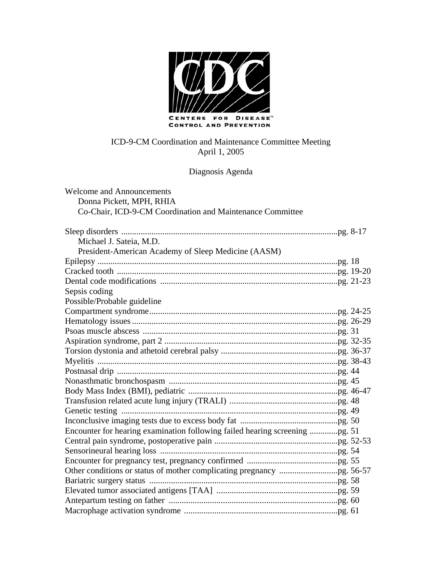

### Diagnosis Agenda

| <b>Welcome and Announcements</b>                                            |  |
|-----------------------------------------------------------------------------|--|
| Donna Pickett, MPH, RHIA                                                    |  |
| Co-Chair, ICD-9-CM Coordination and Maintenance Committee                   |  |
|                                                                             |  |
|                                                                             |  |
| Michael J. Sateia, M.D.                                                     |  |
| President-American Academy of Sleep Medicine (AASM)                         |  |
|                                                                             |  |
|                                                                             |  |
|                                                                             |  |
| Sepsis coding                                                               |  |
| Possible/Probable guideline                                                 |  |
|                                                                             |  |
|                                                                             |  |
|                                                                             |  |
|                                                                             |  |
|                                                                             |  |
|                                                                             |  |
|                                                                             |  |
|                                                                             |  |
|                                                                             |  |
|                                                                             |  |
|                                                                             |  |
|                                                                             |  |
| Encounter for hearing examination following failed hearing screening pg. 51 |  |
|                                                                             |  |
|                                                                             |  |
|                                                                             |  |
|                                                                             |  |
|                                                                             |  |
|                                                                             |  |
|                                                                             |  |
|                                                                             |  |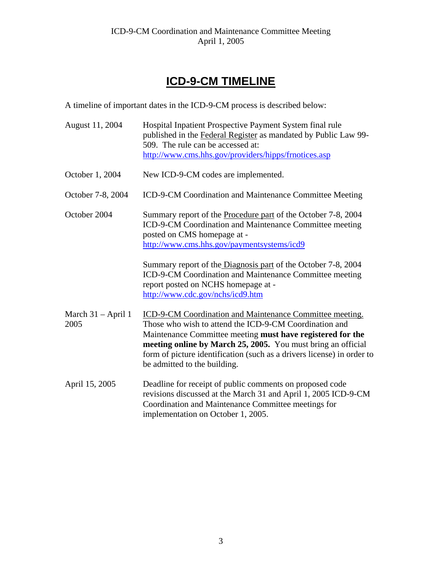# **ICD-9-CM TIMELINE**

A timeline of important dates in the ICD-9-CM process is described below:

| August 11, 2004              | Hospital Inpatient Prospective Payment System final rule<br>published in the Federal Register as mandated by Public Law 99-<br>509. The rule can be accessed at:<br>http://www.cms.hhs.gov/providers/hipps/frnotices.asp                                                                                                                                   |
|------------------------------|------------------------------------------------------------------------------------------------------------------------------------------------------------------------------------------------------------------------------------------------------------------------------------------------------------------------------------------------------------|
| October 1, 2004              | New ICD-9-CM codes are implemented.                                                                                                                                                                                                                                                                                                                        |
| October 7-8, 2004            | ICD-9-CM Coordination and Maintenance Committee Meeting                                                                                                                                                                                                                                                                                                    |
| October 2004                 | Summary report of the Procedure part of the October 7-8, 2004<br>ICD-9-CM Coordination and Maintenance Committee meeting<br>posted on CMS homepage at -<br>http://www.cms.hhs.gov/paymentsystems/icd9                                                                                                                                                      |
|                              | Summary report of the Diagnosis part of the October 7-8, 2004<br>ICD-9-CM Coordination and Maintenance Committee meeting<br>report posted on NCHS homepage at -<br>http://www.cdc.gov/nchs/icd9.htm                                                                                                                                                        |
| March $31 -$ April 1<br>2005 | ICD-9-CM Coordination and Maintenance Committee meeting.<br>Those who wish to attend the ICD-9-CM Coordination and<br>Maintenance Committee meeting must have registered for the<br>meeting online by March 25, 2005. You must bring an official<br>form of picture identification (such as a drivers license) in order to<br>be admitted to the building. |
| April 15, 2005               | Deadline for receipt of public comments on proposed code<br>revisions discussed at the March 31 and April 1, 2005 ICD-9-CM<br>Coordination and Maintenance Committee meetings for<br>implementation on October 1, 2005.                                                                                                                                    |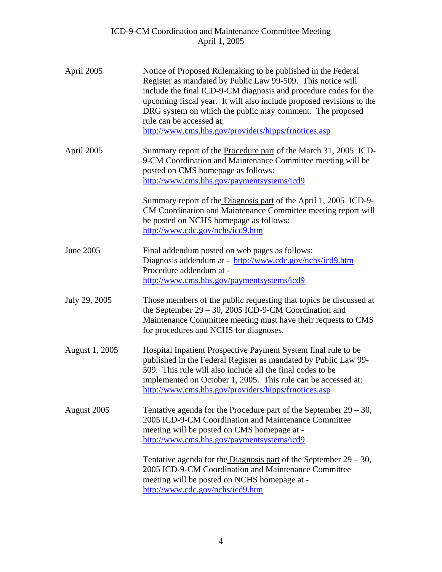| April 2005     | Notice of Proposed Rulemaking to be published in the Federal<br>Register as mandated by Public Law 99-509. This notice will<br>include the final ICD-9-CM diagnosis and procedure codes for the<br>upcoming fiscal year. It will also include proposed revisions to the<br>DRG system on which the public may comment. The proposed<br>rule can be accessed at:<br>http://www.cms.hhs.gov/providers/hipps/frnotices.asp |
|----------------|-------------------------------------------------------------------------------------------------------------------------------------------------------------------------------------------------------------------------------------------------------------------------------------------------------------------------------------------------------------------------------------------------------------------------|
| April 2005     | Summary report of the <b>Procedure part</b> of the March 31, 2005 ICD-<br>9-CM Coordination and Maintenance Committee meeting will be<br>posted on CMS homepage as follows:<br>http://www.cms.hhs.gov/paymentsystems/icd9                                                                                                                                                                                               |
|                | Summary report of the Diagnosis part of the April 1, 2005 ICD-9-<br>CM Coordination and Maintenance Committee meeting report will<br>be posted on NCHS homepage as follows:<br>http://www.cdc.gov/nchs/icd9.htm                                                                                                                                                                                                         |
| June 2005      | Final addendum posted on web pages as follows:<br>Diagnosis addendum at - http://www.cdc.gov/nchs/icd9.htm<br>Procedure addendum at -<br>http://www.cms.hhs.gov/paymentsystems/icd9                                                                                                                                                                                                                                     |
| July 29, 2005  | Those members of the public requesting that topics be discussed at<br>the September $29 - 30$ , 2005 ICD-9-CM Coordination and<br>Maintenance Committee meeting must have their requests to CMS<br>for procedures and NCHS for diagnoses.                                                                                                                                                                               |
| August 1, 2005 | Hospital Inpatient Prospective Payment System final rule to be<br>published in the Federal Register as mandated by Public Law 99-<br>509. This rule will also include all the final codes to be<br>implemented on October 1, 2005. This rule can be accessed at:<br>http://www.cms.hhs.gov/providers/hipps/frnotices.asp                                                                                                |
| August 2005    | Tentative agenda for the Procedure part of the September $29 - 30$ ,<br>2005 ICD-9-CM Coordination and Maintenance Committee<br>meeting will be posted on CMS homepage at -<br>http://www.cms.hhs.gov/paymentsystems/icd9                                                                                                                                                                                               |
|                | Tentative agenda for the Diagnosis part of the September $29 - 30$ ,<br>2005 ICD-9-CM Coordination and Maintenance Committee<br>meeting will be posted on NCHS homepage at -<br>http://www.cdc.gov/nchs/icd9.htm                                                                                                                                                                                                        |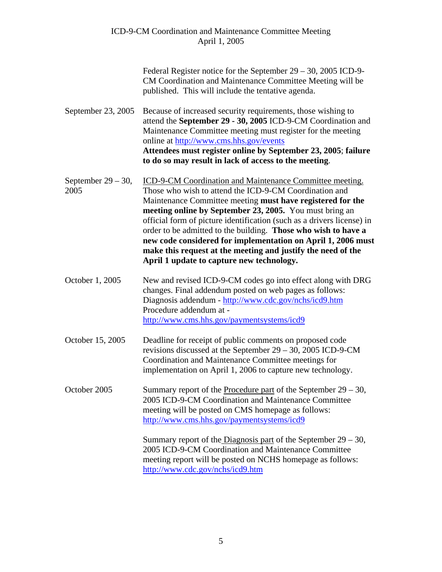| Federal Register notice for the September $29 - 30$ , 2005 ICD-9- |
|-------------------------------------------------------------------|
| CM Coordination and Maintenance Committee Meeting will be         |
| published. This will include the tentative agenda.                |

September 23, 2005 Because of increased security requirements, those wishing to attend the **September 29 - 30, 2005** ICD-9-CM Coordination and Maintenance Committee meeting must register for the meeting online at <http://www.cms.hhs.gov/events> **Attendees must register online by September 23, 2005**; **failure to do so may result in lack of access to the meeting**.

September 29 – 30, ICD-9-CM Coordination and Maintenance Committee meeting. 2005 Those who wish to attend the ICD-9-CM Coordination and Maintenance Committee meeting **must have registered for the meeting online by September 23, 2005.** You must bring an official form of picture identification (such as a drivers license) in order to be admitted to the building. **Those who wish to have a new code considered for implementation on April 1, 2006 must make this request at the meeting and justify the need of the April 1 update to capture new technology.**

October 1, 2005 New and revised ICD-9-CM codes go into effect along with DRG changes. Final addendum posted on web pages as follows: Diagnosis addendum - <http://www.cdc.gov/nchs/icd9.htm> Procedure addendum at <http://www.cms.hhs.gov/paymentsystems/icd9>

- October 15, 2005 Deadline for receipt of public comments on proposed code revisions discussed at the September 29 – 30, 2005 ICD-9-CM Coordination and Maintenance Committee meetings for implementation on April 1, 2006 to capture new technology.
- October 2005 Summary report of the Procedure part of the September 29 30, 2005 ICD-9-CM Coordination and Maintenance Committee meeting will be posted on CMS homepage as follows: <http://www.cms.hhs.gov/paymentsystems/icd9>

Summary report of the Diagnosis part of the September  $29 - 30$ , 2005 ICD-9-CM Coordination and Maintenance Committee meeting report will be posted on NCHS homepage as follows: <http://www.cdc.gov/nchs/icd9.htm>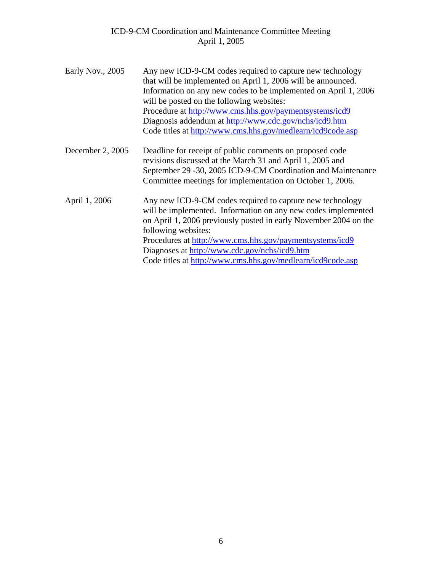| Early Nov., 2005 | Any new ICD-9-CM codes required to capture new technology<br>that will be implemented on April 1, 2006 will be announced.<br>Information on any new codes to be implemented on April 1, 2006<br>will be posted on the following websites:<br>Procedure at http://www.cms.hhs.gov/paymentsystems/icd9<br>Diagnosis addendum at http://www.cdc.gov/nchs/icd9.htm<br>Code titles at http://www.cms.hhs.gov/medlearn/icd9code.asp |
|------------------|-------------------------------------------------------------------------------------------------------------------------------------------------------------------------------------------------------------------------------------------------------------------------------------------------------------------------------------------------------------------------------------------------------------------------------|
| December 2, 2005 | Deadline for receipt of public comments on proposed code<br>revisions discussed at the March 31 and April 1, 2005 and<br>September 29 -30, 2005 ICD-9-CM Coordination and Maintenance<br>Committee meetings for implementation on October 1, 2006.                                                                                                                                                                            |
| April 1, 2006    | Any new ICD-9-CM codes required to capture new technology<br>will be implemented. Information on any new codes implemented<br>on April 1, 2006 previously posted in early November 2004 on the<br>following websites:<br>Procedures at http://www.cms.hhs.gov/paymentsystems/icd9<br>Diagnoses at http://www.cdc.gov/nchs/icd9.htm<br>Code titles at http://www.cms.hhs.gov/medlearn/icd9code.asp                             |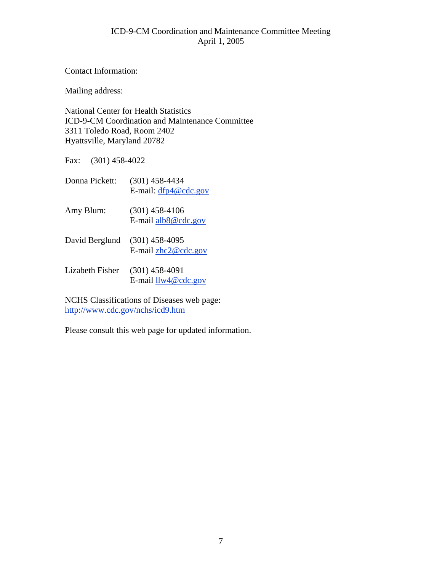Contact Information:

Mailing address:

National Center for Health Statistics ICD-9-CM Coordination and Maintenance Committee 3311 Toledo Road, Room 2402 Hyattsville, Maryland 20782

Fax: (301) 458-4022

| Donna Pickett:  | (301) 458-4434<br>E-mail: $dfp4@cdc.gov$  |
|-----------------|-------------------------------------------|
| Amy Blum:       | $(301)$ 458-4106<br>E-mail alb8@cdc.gov   |
| David Berglund  | $(301)$ 458-4095<br>E-mail $zhc2@cdc.gov$ |
| Lizabeth Fisher | $(301)$ 458-4091<br>E-mail $llw4@cdc.gov$ |

NCHS Classifications of Diseases web page: <http://www.cdc.gov/nchs/icd9.htm>

Please consult this web page for updated information.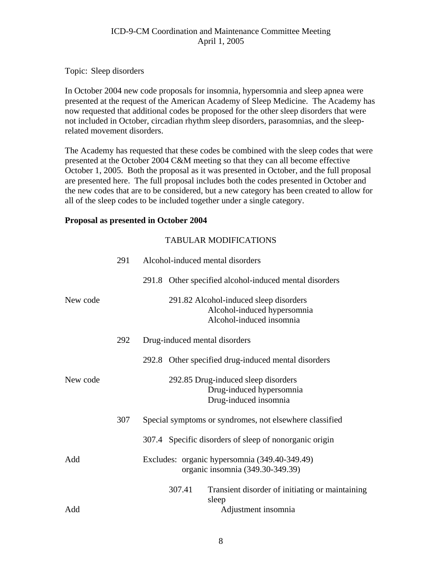Topic: Sleep disorders

In October 2004 new code proposals for insomnia, hypersomnia and sleep apnea were presented at the request of the American Academy of Sleep Medicine. The Academy has now requested that additional codes be proposed for the other sleep disorders that were not included in October, circadian rhythm sleep disorders, parasomnias, and the sleeprelated movement disorders.

The Academy has requested that these codes be combined with the sleep codes that were presented at the October 2004 C&M meeting so that they can all become effective October 1, 2005. Both the proposal as it was presented in October, and the full proposal are presented here. The full proposal includes both the codes presented in October and the new codes that are to be considered, but a new category has been created to allow for all of the sleep codes to be included together under a single category.

#### **Proposal as presented in October 2004**

|          | 291 | Alcohol-induced mental disorders                                                                  |
|----------|-----|---------------------------------------------------------------------------------------------------|
|          |     | 291.8 Other specified alcohol-induced mental disorders                                            |
| New code |     | 291.82 Alcohol-induced sleep disorders<br>Alcohol-induced hypersomnia<br>Alcohol-induced insomnia |
|          | 292 | Drug-induced mental disorders                                                                     |
|          |     | 292.8 Other specified drug-induced mental disorders                                               |
| New code |     | 292.85 Drug-induced sleep disorders<br>Drug-induced hypersomnia<br>Drug-induced insomnia          |
|          | 307 | Special symptoms or syndromes, not elsewhere classified                                           |
|          |     | 307.4 Specific disorders of sleep of nonorganic origin                                            |
| Add      |     | Excludes: organic hypersomnia (349.40-349.49)<br>organic insomnia (349.30-349.39)                 |
| Add      |     | 307.41<br>Transient disorder of initiating or maintaining<br>sleep<br>Adjustment insomnia         |
|          |     |                                                                                                   |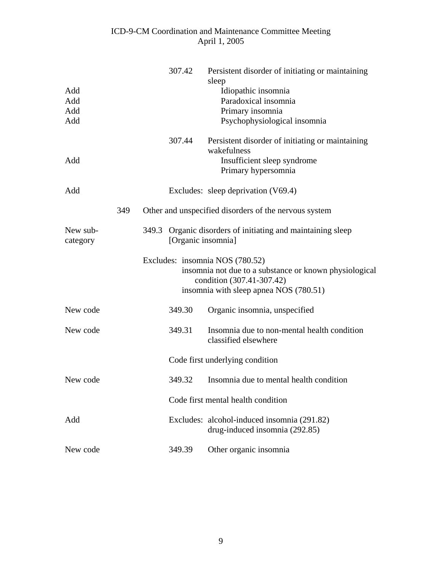|                      |     |       | 307.42             | Persistent disorder of initiating or maintaining<br>sleep                     |
|----------------------|-----|-------|--------------------|-------------------------------------------------------------------------------|
| Add                  |     |       |                    | Idiopathic insomnia                                                           |
| Add                  |     |       |                    | Paradoxical insomnia                                                          |
| Add                  |     |       |                    | Primary insomnia                                                              |
| Add                  |     |       |                    | Psychophysiological insomnia                                                  |
|                      |     |       | 307.44             | Persistent disorder of initiating or maintaining<br>wakefulness               |
| Add                  |     |       |                    | Insufficient sleep syndrome                                                   |
|                      |     |       |                    | Primary hypersomnia                                                           |
| Add                  |     |       |                    | Excludes: sleep deprivation $(V69.4)$                                         |
|                      | 349 |       |                    | Other and unspecified disorders of the nervous system                         |
| New sub-<br>category |     | 349.3 | [Organic insomnia] | Organic disorders of initiating and maintaining sleep                         |
|                      |     |       |                    | Excludes: insomnia NOS (780.52)                                               |
|                      |     |       |                    | insomnia not due to a substance or known physiological                        |
|                      |     |       |                    | condition (307.41-307.42)<br>insomnia with sleep apnea NOS (780.51)           |
| New code             |     |       | 349.30             | Organic insomnia, unspecified                                                 |
| New code             |     |       | 349.31             | Insomnia due to non-mental health condition<br>classified elsewhere           |
|                      |     |       |                    | Code first underlying condition                                               |
| New code             |     |       | 349.32             | Insomnia due to mental health condition                                       |
|                      |     |       |                    | Code first mental health condition                                            |
| Add                  |     |       |                    | Excludes: alcohol-induced insomnia (291.82)<br>drug-induced insomnia (292.85) |
| New code             |     |       | 349.39             | Other organic insomnia                                                        |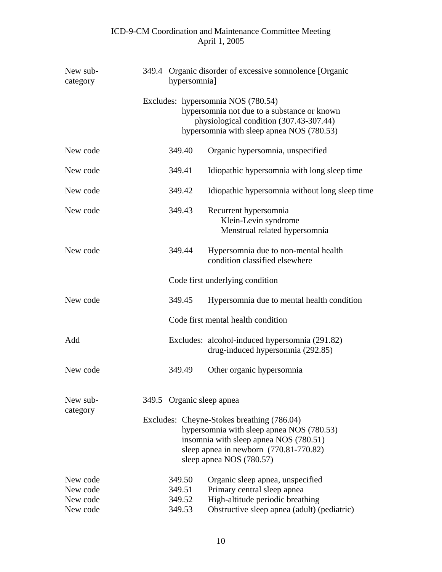| New sub-<br>category                         |  | hypersomnia]                         | 349.4 Organic disorder of excessive somnolence [Organic                                                                                                                                                 |
|----------------------------------------------|--|--------------------------------------|---------------------------------------------------------------------------------------------------------------------------------------------------------------------------------------------------------|
|                                              |  |                                      | Excludes: hypersomnia NOS (780.54)<br>hypersomnia not due to a substance or known<br>physiological condition (307.43-307.44)<br>hypersomnia with sleep apnea NOS (780.53)                               |
| New code                                     |  | 349.40                               | Organic hypersomnia, unspecified                                                                                                                                                                        |
| New code                                     |  | 349.41                               | Idiopathic hypersomnia with long sleep time                                                                                                                                                             |
| New code                                     |  | 349.42                               | Idiopathic hypersomnia without long sleep time                                                                                                                                                          |
| New code                                     |  | 349.43                               | Recurrent hypersomnia<br>Klein-Levin syndrome<br>Menstrual related hypersomnia                                                                                                                          |
| New code                                     |  | 349.44                               | Hypersomnia due to non-mental health<br>condition classified elsewhere                                                                                                                                  |
|                                              |  |                                      | Code first underlying condition                                                                                                                                                                         |
| New code                                     |  | 349.45                               | Hypersomnia due to mental health condition                                                                                                                                                              |
|                                              |  |                                      | Code first mental health condition                                                                                                                                                                      |
| Add                                          |  |                                      | Excludes: alcohol-induced hypersomnia (291.82)<br>drug-induced hypersomnia (292.85)                                                                                                                     |
| New code                                     |  | 349.49                               | Other organic hypersomnia                                                                                                                                                                               |
| New sub-<br>category                         |  | 349.5 Organic sleep apnea            |                                                                                                                                                                                                         |
|                                              |  |                                      | Excludes: Cheyne-Stokes breathing (786.04)<br>hypersomnia with sleep apnea NOS (780.53)<br>insomnia with sleep apnea NOS (780.51)<br>sleep apnea in newborn (770.81-770.82)<br>sleep apnea NOS (780.57) |
| New code<br>New code<br>New code<br>New code |  | 349.50<br>349.51<br>349.52<br>349.53 | Organic sleep apnea, unspecified<br>Primary central sleep apnea<br>High-altitude periodic breathing<br>Obstructive sleep apnea (adult) (pediatric)                                                      |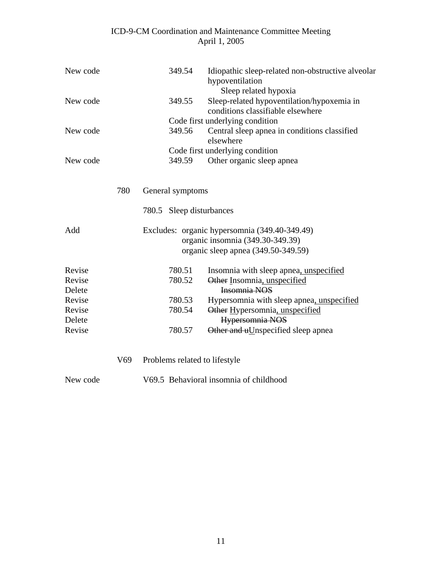| New code         |     | 349.54                        | Idiopathic sleep-related non-obstructive alveolar<br>hypoventilation<br>Sleep related hypoxia                            |
|------------------|-----|-------------------------------|--------------------------------------------------------------------------------------------------------------------------|
| New code         |     | 349.55                        | Sleep-related hypoventilation/hypoxemia in<br>conditions classifiable elsewhere                                          |
|                  |     |                               | Code first underlying condition                                                                                          |
| New code         |     | 349.56                        | Central sleep apnea in conditions classified<br>elsewhere                                                                |
|                  |     |                               | Code first underlying condition                                                                                          |
| New code         |     | 349.59                        | Other organic sleep apnea                                                                                                |
|                  | 780 | General symptoms              |                                                                                                                          |
|                  |     | 780.5 Sleep disturbances      |                                                                                                                          |
| Add              |     |                               | Excludes: organic hypersomnia (349.40-349.49)<br>organic insomnia (349.30-349.39)<br>organic sleep apnea (349.50-349.59) |
| Revise           |     | 780.51                        | Insomnia with sleep apnea, unspecified                                                                                   |
| Revise<br>Delete |     | 780.52                        | Other Insomnia, unspecified<br>Insomnia NOS                                                                              |
| Revise           |     | 780.53                        | Hypersomnia with sleep apnea, unspecified                                                                                |
| Revise           |     | 780.54                        | Other Hypersomnia, unspecified                                                                                           |
| Delete           |     |                               | Hypersomnia NOS                                                                                                          |
| Revise           |     | 780.57                        | Other and uUnspecified sleep apnea                                                                                       |
|                  | V69 | Problems related to lifestyle |                                                                                                                          |
| New code         |     |                               | V69.5 Behavioral insomnia of childhood                                                                                   |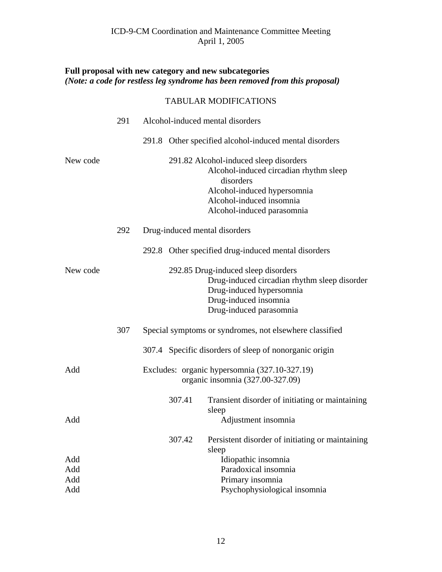## **Full proposal with new category and new subcategories**  *(Note: a code for restless leg syndrome has been removed from this proposal)*

|          | 291 | Alcohol-induced mental disorders                                                                                                                                                       |  |
|----------|-----|----------------------------------------------------------------------------------------------------------------------------------------------------------------------------------------|--|
|          |     | 291.8 Other specified alcohol-induced mental disorders                                                                                                                                 |  |
| New code |     | 291.82 Alcohol-induced sleep disorders<br>Alcohol-induced circadian rhythm sleep<br>disorders<br>Alcohol-induced hypersomnia<br>Alcohol-induced insomnia<br>Alcohol-induced parasomnia |  |
|          | 292 | Drug-induced mental disorders                                                                                                                                                          |  |
|          |     | 292.8 Other specified drug-induced mental disorders                                                                                                                                    |  |
| New code |     | 292.85 Drug-induced sleep disorders<br>Drug-induced circadian rhythm sleep disorder<br>Drug-induced hypersomnia<br>Drug-induced insomnia<br>Drug-induced parasomnia                    |  |
|          | 307 | Special symptoms or syndromes, not elsewhere classified                                                                                                                                |  |
|          |     | 307.4 Specific disorders of sleep of nonorganic origin                                                                                                                                 |  |
| Add      |     | Excludes: organic hypersomnia (327.10-327.19)<br>organic insomnia (327.00-327.09)                                                                                                      |  |
| Add      |     | 307.41<br>Transient disorder of initiating or maintaining<br>sleep<br>Adjustment insomnia                                                                                              |  |
|          |     | Persistent disorder of initiating or maintaining<br>307.42<br>sleep                                                                                                                    |  |
| Add      |     | Idiopathic insomnia                                                                                                                                                                    |  |
| Add      |     | Paradoxical insomnia                                                                                                                                                                   |  |
| Add      |     | Primary insomnia                                                                                                                                                                       |  |
| Add      |     | Psychophysiological insomnia                                                                                                                                                           |  |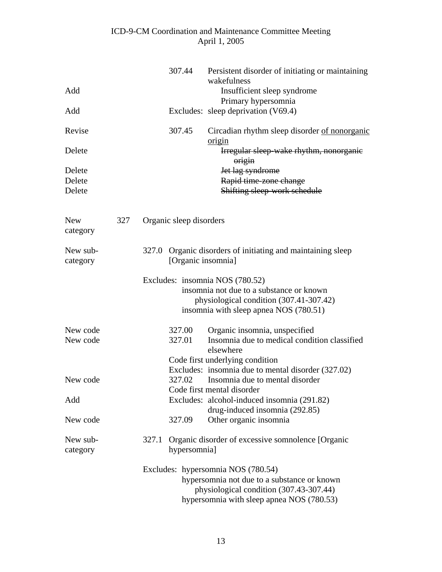| Add                    |     | 307.44                  | Persistent disorder of initiating or maintaining<br>wakefulness<br>Insufficient sleep syndrome                                                                            |
|------------------------|-----|-------------------------|---------------------------------------------------------------------------------------------------------------------------------------------------------------------------|
| Add                    |     |                         | Primary hypersomnia<br>Excludes: sleep deprivation (V69.4)                                                                                                                |
|                        |     |                         |                                                                                                                                                                           |
| Revise                 |     | 307.45                  | Circadian rhythm sleep disorder of nonorganic<br>origin                                                                                                                   |
| Delete                 |     |                         | Irregular sleep wake rhythm, nonorganie<br>$origin$                                                                                                                       |
| Delete                 |     |                         | Jet lag syndrome                                                                                                                                                          |
| Delete                 |     |                         | Rapid time zone change                                                                                                                                                    |
| Delete                 |     |                         | Shifting sleep work schedule                                                                                                                                              |
|                        |     |                         |                                                                                                                                                                           |
| <b>New</b><br>category | 327 | Organic sleep disorders |                                                                                                                                                                           |
| New sub-<br>category   |     | 327.0                   | Organic disorders of initiating and maintaining sleep<br>[Organic insomnia]                                                                                               |
|                        |     |                         | Excludes: insomnia NOS (780.52)<br>insomnia not due to a substance or known<br>physiological condition (307.41-307.42)<br>insomnia with sleep apnea NOS (780.51)          |
| New code               |     | 327.00                  | Organic insomnia, unspecified                                                                                                                                             |
| New code               |     | 327.01                  | Insomnia due to medical condition classified<br>elsewhere                                                                                                                 |
|                        |     |                         | Code first underlying condition                                                                                                                                           |
|                        |     |                         | Excludes: insomnia due to mental disorder (327.02)                                                                                                                        |
| New code               |     | 327.02                  | Insomnia due to mental disorder                                                                                                                                           |
|                        |     |                         | Code first mental disorder                                                                                                                                                |
| Add                    |     |                         | Excludes: alcohol-induced insomnia (291.82)<br>drug-induced insomnia (292.85)                                                                                             |
| New code               |     | 327.09                  | Other organic insomnia                                                                                                                                                    |
| New sub-<br>category   |     | 327.1<br>hypersomnia]   | Organic disorder of excessive somnolence [Organic                                                                                                                         |
|                        |     |                         | Excludes: hypersomnia NOS (780.54)<br>hypersomnia not due to a substance or known<br>physiological condition (307.43-307.44)<br>hypersomnia with sleep apnea NOS (780.53) |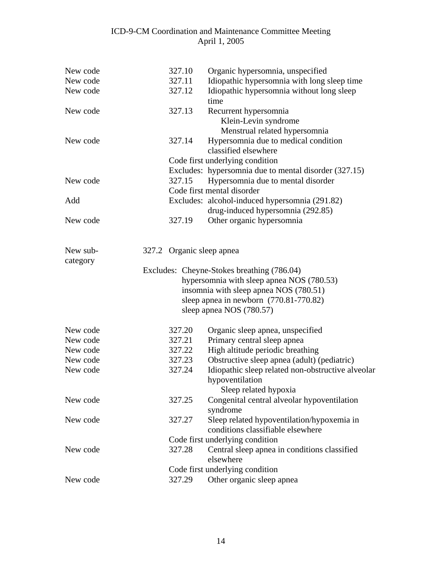| New code             | 327.10                    | Organic hypersomnia, unspecified                                               |
|----------------------|---------------------------|--------------------------------------------------------------------------------|
| New code             | 327.11                    | Idiopathic hypersomnia with long sleep time                                    |
| New code             | 327.12                    | Idiopathic hypersomnia without long sleep<br>time                              |
| New code             | 327.13                    | Recurrent hypersomnia<br>Klein-Levin syndrome<br>Menstrual related hypersomnia |
| New code             | 327.14                    | Hypersomnia due to medical condition<br>classified elsewhere                   |
|                      |                           | Code first underlying condition                                                |
|                      |                           | Excludes: hypersomnia due to mental disorder (327.15)                          |
| New code             | 327.15                    | Hypersomnia due to mental disorder                                             |
|                      |                           | Code first mental disorder                                                     |
| Add                  |                           | Excludes: alcohol-induced hypersomnia (291.82)                                 |
|                      |                           | drug-induced hypersomnia (292.85)                                              |
| New code             | 327.19                    | Other organic hypersomnia                                                      |
|                      |                           |                                                                                |
| New sub-<br>category | 327.2 Organic sleep apnea |                                                                                |
|                      |                           | Excludes: Cheyne-Stokes breathing (786.04)                                     |
|                      |                           | hypersomnia with sleep apnea NOS (780.53)                                      |
|                      |                           | insomnia with sleep apnea NOS (780.51)                                         |
|                      |                           | sleep apnea in newborn $(770.81 - 770.82)$                                     |
|                      |                           | sleep apnea NOS (780.57)                                                       |
| New code             | 327.20                    | Organic sleep apnea, unspecified                                               |
| New code             | 327.21                    | Primary central sleep apnea                                                    |
| New code             | 327.22                    | High altitude periodic breathing                                               |
| New code             | 327.23                    | Obstructive sleep apnea (adult) (pediatric)                                    |
| New code             | 327.24                    | Idiopathic sleep related non-obstructive alveolar                              |
|                      |                           | hypoventilation                                                                |
|                      |                           | Sleep related hypoxia                                                          |
| New code             | 327.25                    | Congenital central alveolar hypoventilation                                    |
|                      |                           | syndrome                                                                       |
| New code             | 327.27                    | Sleep related hypoventilation/hypoxemia in                                     |
|                      |                           | conditions classifiable elsewhere                                              |
|                      |                           | Code first underlying condition                                                |
| New code             | 327.28                    | Central sleep apnea in conditions classified                                   |
|                      |                           | elsewhere                                                                      |
|                      |                           | Code first underlying condition                                                |
| New code             | 327.29                    | Other organic sleep apnea                                                      |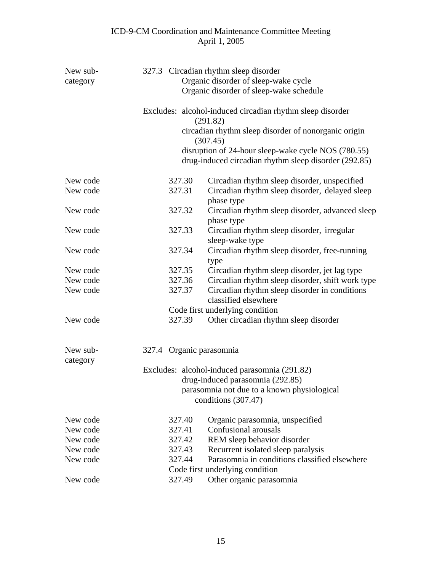| New sub- |                                                                       | 327.3 Circadian rhythm sleep disorder                                                                        |  |  |  |  |  |  |
|----------|-----------------------------------------------------------------------|--------------------------------------------------------------------------------------------------------------|--|--|--|--|--|--|
| category |                                                                       | Organic disorder of sleep-wake cycle                                                                         |  |  |  |  |  |  |
|          |                                                                       | Organic disorder of sleep-wake schedule                                                                      |  |  |  |  |  |  |
|          | Excludes: alcohol-induced circadian rhythm sleep disorder<br>(291.82) |                                                                                                              |  |  |  |  |  |  |
|          |                                                                       | circadian rhythm sleep disorder of nonorganic origin<br>(307.45)                                             |  |  |  |  |  |  |
|          |                                                                       | disruption of 24-hour sleep-wake cycle NOS (780.55)<br>drug-induced circadian rhythm sleep disorder (292.85) |  |  |  |  |  |  |
| New code | 327.30                                                                | Circadian rhythm sleep disorder, unspecified                                                                 |  |  |  |  |  |  |
| New code | 327.31                                                                | Circadian rhythm sleep disorder, delayed sleep<br>phase type                                                 |  |  |  |  |  |  |
| New code | 327.32                                                                | Circadian rhythm sleep disorder, advanced sleep<br>phase type                                                |  |  |  |  |  |  |
| New code | 327.33                                                                | Circadian rhythm sleep disorder, irregular<br>sleep-wake type                                                |  |  |  |  |  |  |
| New code | 327.34                                                                | Circadian rhythm sleep disorder, free-running<br>type                                                        |  |  |  |  |  |  |
| New code | 327.35                                                                | Circadian rhythm sleep disorder, jet lag type                                                                |  |  |  |  |  |  |
| New code | 327.36                                                                | Circadian rhythm sleep disorder, shift work type                                                             |  |  |  |  |  |  |
| New code | 327.37                                                                | Circadian rhythm sleep disorder in conditions<br>classified elsewhere                                        |  |  |  |  |  |  |
|          |                                                                       | Code first underlying condition                                                                              |  |  |  |  |  |  |
| New code | 327.39                                                                | Other circadian rhythm sleep disorder                                                                        |  |  |  |  |  |  |
| New sub- | 327.4 Organic parasomnia                                              |                                                                                                              |  |  |  |  |  |  |
| category |                                                                       |                                                                                                              |  |  |  |  |  |  |
|          | Excludes: alcohol-induced parasomnia (291.82)                         |                                                                                                              |  |  |  |  |  |  |
|          | drug-induced parasomnia (292.85)                                      |                                                                                                              |  |  |  |  |  |  |
|          |                                                                       | parasomnia not due to a known physiological                                                                  |  |  |  |  |  |  |
|          |                                                                       | conditions $(307.47)$                                                                                        |  |  |  |  |  |  |
| New code | 327.40                                                                | Organic parasomnia, unspecified                                                                              |  |  |  |  |  |  |
| New code | 327.41                                                                | Confusional arousals                                                                                         |  |  |  |  |  |  |
| New code | 327.42                                                                | REM sleep behavior disorder                                                                                  |  |  |  |  |  |  |
| New code | 327.43                                                                | Recurrent isolated sleep paralysis                                                                           |  |  |  |  |  |  |
| New code | 327.44                                                                | Parasomnia in conditions classified elsewhere                                                                |  |  |  |  |  |  |
|          |                                                                       | Code first underlying condition                                                                              |  |  |  |  |  |  |
| New code | 327.49                                                                | Other organic parasomnia                                                                                     |  |  |  |  |  |  |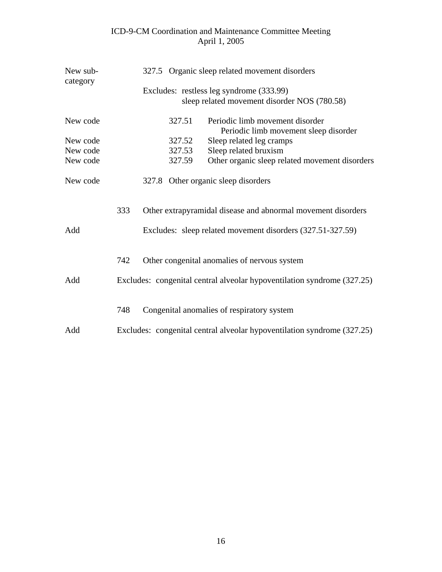| New sub-<br>category | 327.5 Organic sleep related movement disorders                          |  |        |                                                                          |  |  |
|----------------------|-------------------------------------------------------------------------|--|--------|--------------------------------------------------------------------------|--|--|
|                      | Excludes: restless leg syndrome (333.99)                                |  |        |                                                                          |  |  |
|                      |                                                                         |  |        | sleep related movement disorder NOS (780.58)                             |  |  |
| New code             |                                                                         |  | 327.51 | Periodic limb movement disorder<br>Periodic limb movement sleep disorder |  |  |
| New code             |                                                                         |  | 327.52 | Sleep related leg cramps                                                 |  |  |
| New code             |                                                                         |  | 327.53 | Sleep related bruxism                                                    |  |  |
| New code             |                                                                         |  | 327.59 | Other organic sleep related movement disorders                           |  |  |
| New code             | 327.8 Other organic sleep disorders                                     |  |        |                                                                          |  |  |
|                      | 333                                                                     |  |        | Other extrapyramidal disease and abnormal movement disorders             |  |  |
| Add                  |                                                                         |  |        | Excludes: sleep related movement disorders (327.51-327.59)               |  |  |
|                      | 742                                                                     |  |        | Other congenital anomalies of nervous system                             |  |  |
| Add                  |                                                                         |  |        | Excludes: congenital central alveolar hypoventilation syndrome (327.25)  |  |  |
|                      | 748                                                                     |  |        | Congenital anomalies of respiratory system                               |  |  |
| Add                  | Excludes: congenital central alveolar hypoventilation syndrome (327.25) |  |        |                                                                          |  |  |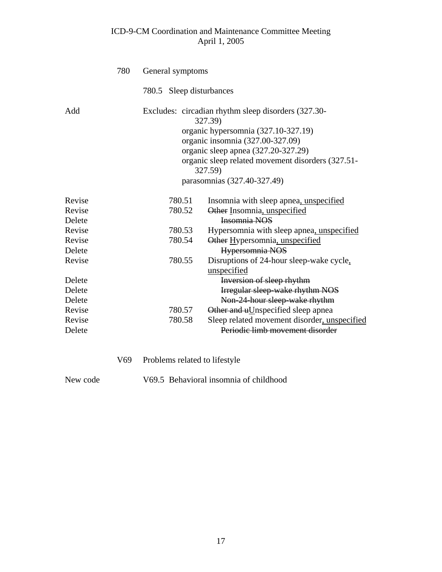|        | 780 | General symptoms         |                                                                                                                                                                                                                                                                                 |  |  |
|--------|-----|--------------------------|---------------------------------------------------------------------------------------------------------------------------------------------------------------------------------------------------------------------------------------------------------------------------------|--|--|
|        |     | 780.5 Sleep disturbances |                                                                                                                                                                                                                                                                                 |  |  |
| Add    |     |                          | Excludes: circadian rhythm sleep disorders (327.30-<br>327.39)<br>organic hypersomnia (327.10-327.19)<br>organic insomnia (327.00-327.09)<br>organic sleep apnea (327.20-327.29)<br>organic sleep related movement disorders (327.51-<br>327.59)<br>parasomnias (327.40-327.49) |  |  |
| Revise |     | 780.51                   | Insomnia with sleep apnea, unspecified                                                                                                                                                                                                                                          |  |  |
| Revise |     | 780.52                   | Other Insomnia, unspecified                                                                                                                                                                                                                                                     |  |  |
| Delete |     |                          | Insomnia NOS                                                                                                                                                                                                                                                                    |  |  |
| Revise |     | 780.53                   | Hypersomnia with sleep apnea, unspecified                                                                                                                                                                                                                                       |  |  |
| Revise |     | 780.54                   | Other Hypersomnia, unspecified                                                                                                                                                                                                                                                  |  |  |
| Delete |     |                          | Hypersomnia NOS                                                                                                                                                                                                                                                                 |  |  |
| Revise |     | 780.55                   | Disruptions of 24-hour sleep-wake cycle,<br>unspecified                                                                                                                                                                                                                         |  |  |
| Delete |     |                          | Inversion of sleep rhythm                                                                                                                                                                                                                                                       |  |  |
| Delete |     |                          | Irregular sleep wake rhythm NOS                                                                                                                                                                                                                                                 |  |  |
| Delete |     |                          | Non-24-hour sleep-wake rhythm                                                                                                                                                                                                                                                   |  |  |
| Revise |     | 780.57                   | Other and uUnspecified sleep apnea                                                                                                                                                                                                                                              |  |  |
| Revise |     | 780.58                   | Sleep related movement disorder, unspecified                                                                                                                                                                                                                                    |  |  |
| Delete |     |                          | Periodic limb movement disorder                                                                                                                                                                                                                                                 |  |  |
|        |     |                          |                                                                                                                                                                                                                                                                                 |  |  |

- V69 Problems related to lifestyle
- 

New code V69.5 Behavioral insomnia of childhood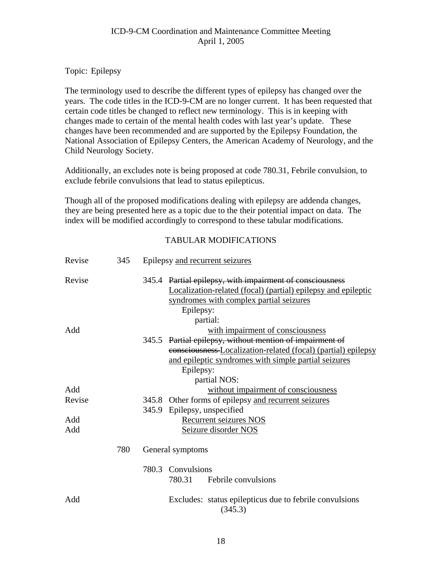#### Topic: Epilepsy

The terminology used to describe the different types of epilepsy has changed over the years. The code titles in the ICD-9-CM are no longer current. It has been requested that certain code titles be changed to reflect new terminology. This is in keeping with changes made to certain of the mental health codes with last year's update. These changes have been recommended and are supported by the Epilepsy Foundation, the National Association of Epilepsy Centers, the American Academy of Neurology, and the Child Neurology Society.

Additionally, an excludes note is being proposed at code 780.31, Febrile convulsion, to exclude febrile convulsions that lead to status epilepticus.

Though all of the proposed modifications dealing with epilepsy are addenda changes, they are being presented here as a topic due to the their potential impact on data. The index will be modified accordingly to correspond to these tabular modifications.

| Revise | 345 | Epilepsy and recurrent seizures                                    |  |  |
|--------|-----|--------------------------------------------------------------------|--|--|
| Revise |     | 345.4 Partial epilepsy, with impairment of consciousness           |  |  |
|        |     | Localization-related (focal) (partial) epilepsy and epileptic      |  |  |
|        |     | syndromes with complex partial seizures                            |  |  |
|        |     | Epilepsy:                                                          |  |  |
|        |     | partial:                                                           |  |  |
| Add    |     | with impairment of consciousness                                   |  |  |
|        |     | 345.5 Partial epilepsy, without mention of impairment of           |  |  |
|        |     | eonsciousness Localization-related (focal) (partial) epilepsy      |  |  |
|        |     | and epileptic syndromes with simple partial seizures               |  |  |
|        |     | Epilepsy:                                                          |  |  |
|        |     | partial NOS:                                                       |  |  |
| Add    |     | without impairment of consciousness                                |  |  |
| Revise |     | 345.8 Other forms of epilepsy and recurrent seizures               |  |  |
|        |     | 345.9 Epilepsy, unspecified                                        |  |  |
| Add    |     | Recurrent seizures NOS                                             |  |  |
| Add    |     | Seizure disorder NOS                                               |  |  |
|        |     |                                                                    |  |  |
|        | 780 | General symptoms                                                   |  |  |
|        |     | Convulsions<br>780.3                                               |  |  |
|        |     | 780.31<br>Febrile convulsions                                      |  |  |
| Add    |     | Excludes: status epilepticus due to febrile convulsions<br>(345.3) |  |  |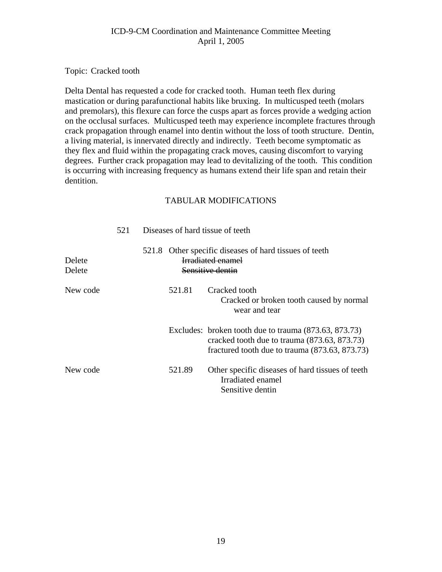Topic: Cracked tooth

Delta Dental has requested a code for cracked tooth. Human teeth flex during mastication or during parafunctional habits like bruxing. In multicusped teeth (molars and premolars), this flexure can force the cusps apart as forces provide a wedging action on the occlusal surfaces. Multicusped teeth may experience incomplete fractures through crack propagation through enamel into dentin without the loss of tooth structure. Dentin, a living material, is innervated directly and indirectly. Teeth become symptomatic as they flex and fluid within the propagating crack moves, causing discomfort to varying degrees. Further crack propagation may lead to devitalizing of the tooth. This condition is occurring with increasing frequency as humans extend their life span and retain their dentition.

|                  | 521 | Diseases of hard tissue of teeth                                                                       |        |                                                                                                                                                           |  |
|------------------|-----|--------------------------------------------------------------------------------------------------------|--------|-----------------------------------------------------------------------------------------------------------------------------------------------------------|--|
| Delete<br>Delete |     | 521.8 Other specific diseases of hard tissues of teeth<br><b>Irradiated enamel</b><br>Sensitive dentin |        |                                                                                                                                                           |  |
| New code         |     |                                                                                                        | 521.81 | Cracked tooth<br>Cracked or broken tooth caused by normal<br>wear and tear                                                                                |  |
|                  |     |                                                                                                        |        | Excludes: broken tooth due to trauma (873.63, 873.73)<br>cracked tooth due to trauma (873.63, 873.73)<br>fractured tooth due to trauma $(873.63, 873.73)$ |  |
| New code         |     |                                                                                                        | 521.89 | Other specific diseases of hard tissues of teeth<br>Irradiated enamel<br>Sensitive dentin                                                                 |  |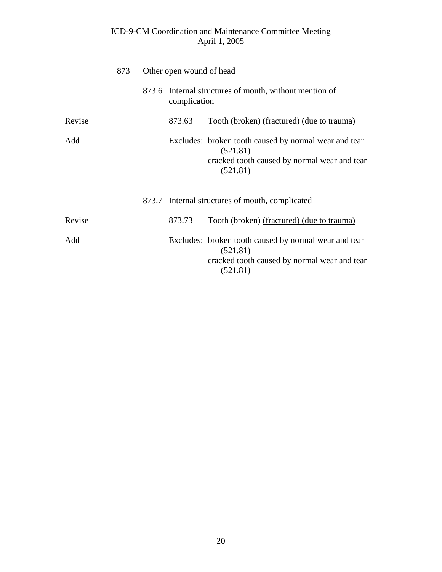|        | 873 | Other open wound of head |                                                                                                                               |  |
|--------|-----|--------------------------|-------------------------------------------------------------------------------------------------------------------------------|--|
|        |     | complication             | 873.6 Internal structures of mouth, without mention of                                                                        |  |
| Revise |     | 873.63                   | Tooth (broken) (fractured) (due to trauma)                                                                                    |  |
| Add    |     |                          | Excludes: broken tooth caused by normal wear and tear<br>(521.81)<br>cracked tooth caused by normal wear and tear<br>(521.81) |  |
|        |     |                          | 873.7 Internal structures of mouth, complicated                                                                               |  |
| Revise |     | 873.73                   | Tooth (broken) (fractured) (due to trauma)                                                                                    |  |
| Add    |     |                          | Excludes: broken tooth caused by normal wear and tear<br>(521.81)<br>cracked tooth caused by normal wear and tear<br>(521.81) |  |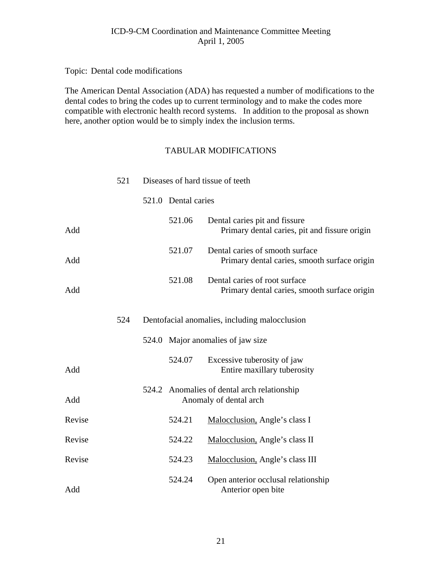Topic: Dental code modifications

The American Dental Association (ADA) has requested a number of modifications to the dental codes to bring the codes up to current terminology and to make the codes more compatible with electronic health record systems. In addition to the proposal as shown here, another option would be to simply index the inclusion terms.

|        | 521 | Diseases of hard tissue of teeth |                                                                                 |  |
|--------|-----|----------------------------------|---------------------------------------------------------------------------------|--|
|        |     | 521.0 Dental caries              |                                                                                 |  |
| Add    |     | 521.06                           | Dental caries pit and fissure<br>Primary dental caries, pit and fissure origin  |  |
| Add    |     | 521.07                           | Dental caries of smooth surface<br>Primary dental caries, smooth surface origin |  |
| Add    |     | 521.08                           | Dental caries of root surface<br>Primary dental caries, smooth surface origin   |  |
|        | 524 |                                  | Dentofacial anomalies, including malocclusion                                   |  |
|        |     |                                  | 524.0 Major anomalies of jaw size                                               |  |
| Add    |     | 524.07                           | Excessive tuberosity of jaw<br>Entire maxillary tuberosity                      |  |
| Add    |     |                                  | 524.2 Anomalies of dental arch relationship<br>Anomaly of dental arch           |  |
| Revise |     | 524.21                           | Malocclusion, Angle's class I                                                   |  |
| Revise |     | 524.22                           | Malocclusion, Angle's class II                                                  |  |
| Revise |     | 524.23                           | Malocclusion, Angle's class III                                                 |  |
| Add    |     | 524.24                           | Open anterior occlusal relationship<br>Anterior open bite                       |  |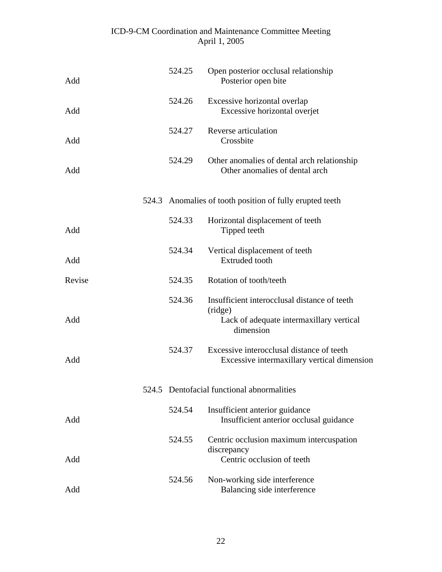| Add    | 524.25 | Open posterior occlusal relationship<br>Posterior open bite                                                      |
|--------|--------|------------------------------------------------------------------------------------------------------------------|
| Add    | 524.26 | Excessive horizontal overlap<br>Excessive horizontal overjet                                                     |
| Add    | 524.27 | Reverse articulation<br>Crossbite                                                                                |
| Add    | 524.29 | Other anomalies of dental arch relationship<br>Other anomalies of dental arch                                    |
|        |        | 524.3 Anomalies of tooth position of fully erupted teeth                                                         |
| Add    | 524.33 | Horizontal displacement of teeth<br>Tipped teeth                                                                 |
| Add    | 524.34 | Vertical displacement of teeth<br><b>Extruded</b> tooth                                                          |
| Revise | 524.35 | Rotation of tooth/teeth                                                                                          |
| Add    | 524.36 | Insufficient interocclusal distance of teeth<br>(ridge)<br>Lack of adequate intermaxillary vertical<br>dimension |
| Add    | 524.37 | Excessive interocclusal distance of teeth<br>Excessive intermaxillary vertical dimension                         |
|        |        | 524.5 Dentofacial functional abnormalities                                                                       |
| Add    | 524.54 | Insufficient anterior guidance<br>Insufficient anterior occlusal guidance                                        |
| Add    | 524.55 | Centric occlusion maximum intercuspation<br>discrepancy<br>Centric occlusion of teeth                            |
| Add    | 524.56 | Non-working side interference<br>Balancing side interference                                                     |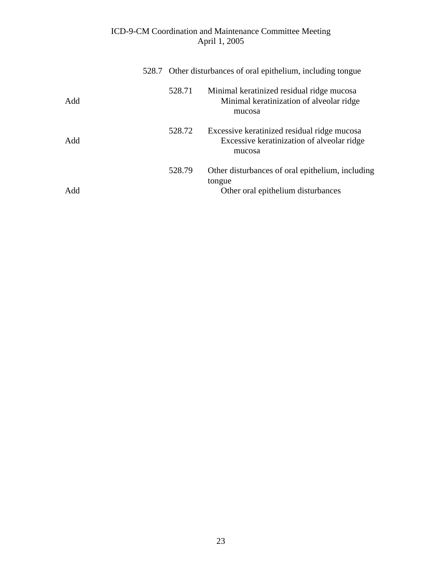|     | 528.7 Other disturbances of oral epithelium, including tongue |                                                                                                     |  |
|-----|---------------------------------------------------------------|-----------------------------------------------------------------------------------------------------|--|
| Add | 528.71                                                        | Minimal keratinized residual ridge mucosa<br>Minimal keratinization of alveolar ridge<br>mucosa     |  |
| Add | 528.72                                                        | Excessive keratinized residual ridge mucosa<br>Excessive keratinization of alveolar ridge<br>mucosa |  |
| Add | 528.79                                                        | Other disturbances of oral epithelium, including<br>tongue<br>Other oral epithelium disturbances    |  |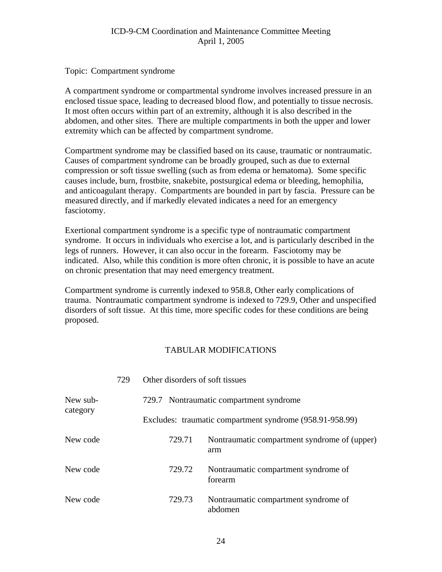Topic: Compartment syndrome

A compartment syndrome or compartmental syndrome involves increased pressure in an enclosed tissue space, leading to decreased blood flow, and potentially to tissue necrosis. It most often occurs within part of an extremity, although it is also described in the abdomen, and other sites. There are multiple compartments in both the upper and lower extremity which can be affected by compartment syndrome.

Compartment syndrome may be classified based on its cause, traumatic or nontraumatic. Causes of compartment syndrome can be broadly grouped, such as due to external compression or soft tissue swelling (such as from edema or hematoma). Some specific causes include, burn, frostbite, snakebite, postsurgical edema or bleeding, hemophilia, and anticoagulant therapy. Compartments are bounded in part by fascia. Pressure can be measured directly, and if markedly elevated indicates a need for an emergency fasciotomy.

Exertional compartment syndrome is a specific type of nontraumatic compartment syndrome. It occurs in individuals who exercise a lot, and is particularly described in the legs of runners. However, it can also occur in the forearm. Fasciotomy may be indicated. Also, while this condition is more often chronic, it is possible to have an acute on chronic presentation that may need emergency treatment.

Compartment syndrome is currently indexed to 958.8, Other early complications of trauma. Nontraumatic compartment syndrome is indexed to 729.9, Other and unspecified disorders of soft tissue. At this time, more specific codes for these conditions are being proposed.

|          | 729 | Other disorders of soft tissues |                                                          |
|----------|-----|---------------------------------|----------------------------------------------------------|
| New sub- |     |                                 | 729.7 Nontraumatic compartment syndrome                  |
| category |     |                                 | Excludes: traumatic compartment syndrome (958.91-958.99) |
| New code |     | 729.71                          | Nontraumatic compartment syndrome of (upper)<br>arm      |
| New code |     | 729.72                          | Nontraumatic compartment syndrome of<br>forearm          |
| New code |     | 729.73                          | Nontraumatic compartment syndrome of<br>abdomen          |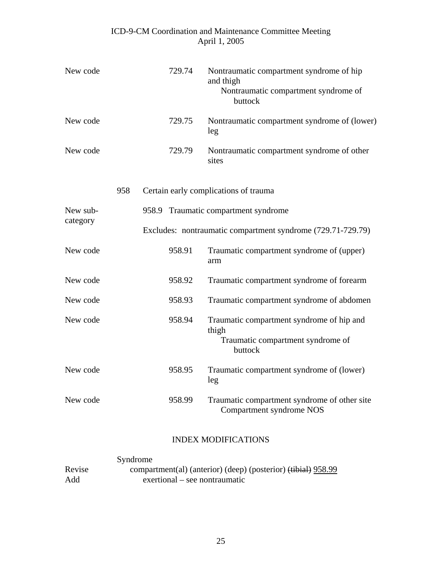| New code |     |                                                             | 729.74 | Nontraumatic compartment syndrome of hip<br>and thigh<br>Nontraumatic compartment syndrome of<br>buttock |  |  |  |
|----------|-----|-------------------------------------------------------------|--------|----------------------------------------------------------------------------------------------------------|--|--|--|
| New code |     |                                                             | 729.75 | Nontraumatic compartment syndrome of (lower)<br>leg                                                      |  |  |  |
| New code |     |                                                             | 729.79 | Nontraumatic compartment syndrome of other<br>sites                                                      |  |  |  |
|          | 958 |                                                             |        | Certain early complications of trauma                                                                    |  |  |  |
| New sub- |     |                                                             |        | 958.9 Traumatic compartment syndrome                                                                     |  |  |  |
| category |     | Excludes: nontraumatic compartment syndrome (729.71-729.79) |        |                                                                                                          |  |  |  |
| New code |     |                                                             | 958.91 | Traumatic compartment syndrome of (upper)<br>arm                                                         |  |  |  |
| New code |     |                                                             | 958.92 | Traumatic compartment syndrome of forearm                                                                |  |  |  |
| New code |     |                                                             | 958.93 | Traumatic compartment syndrome of abdomen                                                                |  |  |  |
| New code |     |                                                             | 958.94 | Traumatic compartment syndrome of hip and<br>thigh<br>Traumatic compartment syndrome of<br>buttock       |  |  |  |
| New code |     |                                                             | 958.95 | Traumatic compartment syndrome of (lower)<br>leg                                                         |  |  |  |
| New code |     |                                                             | 958.99 | Traumatic compartment syndrome of other site<br>Compartment syndrome NOS                                 |  |  |  |

## INDEX MODIFICATIONS

|        | Syndrome                                                      |
|--------|---------------------------------------------------------------|
| Revise | compartment(al) (anterior) (deep) (posterior) (tibial) 958.99 |
| Add    | exertional – see nontraumatic                                 |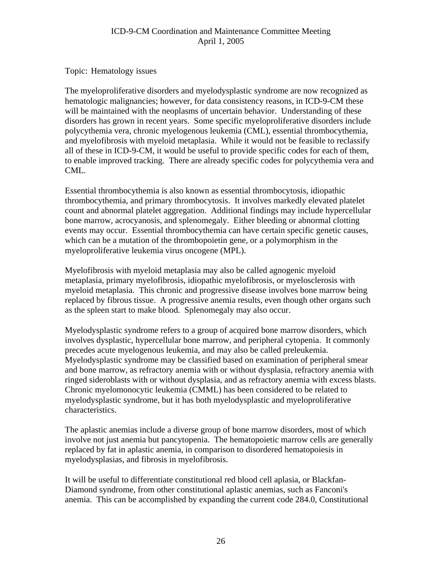Topic: Hematology issues

The myeloproliferative disorders and myelodysplastic syndrome are now recognized as hematologic malignancies; however, for data consistency reasons, in ICD-9-CM these will be maintained with the neoplasms of uncertain behavior. Understanding of these disorders has grown in recent years. Some specific myeloproliferative disorders include polycythemia vera, chronic myelogenous leukemia (CML), essential thrombocythemia, and myelofibrosis with myeloid metaplasia. While it would not be feasible to reclassify all of these in ICD-9-CM, it would be useful to provide specific codes for each of them, to enable improved tracking. There are already specific codes for polycythemia vera and CML.

Essential thrombocythemia is also known as essential thrombocytosis, idiopathic thrombocythemia, and primary thrombocytosis. It involves markedly elevated platelet count and abnormal platelet aggregation. Additional findings may include hypercellular bone marrow, acrocyanosis, and splenomegaly. Either bleeding or abnormal clotting events may occur. Essential thrombocythemia can have certain specific genetic causes, which can be a mutation of the thrombopoietin gene, or a polymorphism in the myeloproliferative leukemia virus oncogene (MPL).

Myelofibrosis with myeloid metaplasia may also be called agnogenic myeloid metaplasia, primary myelofibrosis, idiopathic myelofibrosis, or myelosclerosis with myeloid metaplasia. This chronic and progressive disease involves bone marrow being replaced by fibrous tissue. A progressive anemia results, even though other organs such as the spleen start to make blood. Splenomegaly may also occur.

Myelodysplastic syndrome refers to a group of acquired bone marrow disorders, which involves dysplastic, hypercellular bone marrow, and peripheral cytopenia. It commonly precedes acute myelogenous leukemia, and may also be called preleukemia. Myelodysplastic syndrome may be classified based on examination of peripheral smear and bone marrow, as refractory anemia with or without dysplasia, refractory anemia with ringed sideroblasts with or without dysplasia, and as refractory anemia with excess blasts. Chronic myelomonocytic leukemia (CMML) has been considered to be related to myelodysplastic syndrome, but it has both myelodysplastic and myeloproliferative characteristics.

The aplastic anemias include a diverse group of bone marrow disorders, most of which involve not just anemia but pancytopenia. The hematopoietic marrow cells are generally replaced by fat in aplastic anemia, in comparison to disordered hematopoiesis in myelodysplasias, and fibrosis in myelofibrosis.

It will be useful to differentiate constitutional red blood cell aplasia, or Blackfan-Diamond syndrome, from other constitutional aplastic anemias, such as Fanconi's anemia. This can be accomplished by expanding the current code 284.0, Constitutional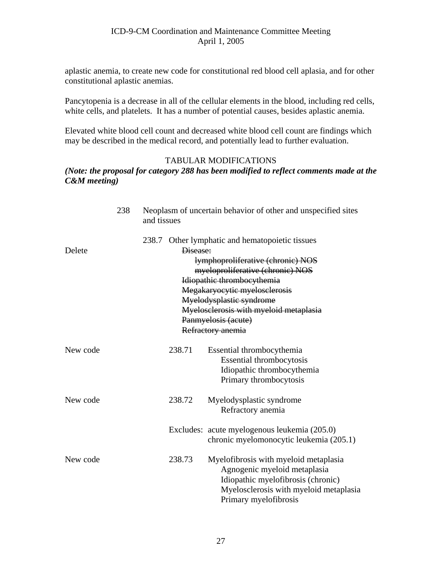aplastic anemia, to create new code for constitutional red blood cell aplasia, and for other constitutional aplastic anemias.

Pancytopenia is a decrease in all of the cellular elements in the blood, including red cells, white cells, and platelets. It has a number of potential causes, besides aplastic anemia.

Elevated white blood cell count and decreased white blood cell count are findings which may be described in the medical record, and potentially lead to further evaluation.

#### TABULAR MODIFICATIONS

#### *(Note: the proposal for category 288 has been modified to reflect comments made at the C&M meeting)*

|          | 238 | and tissues |          | Neoplasm of uncertain behavior of other and unspecified sites                                                                                                                                                                                                                                             |
|----------|-----|-------------|----------|-----------------------------------------------------------------------------------------------------------------------------------------------------------------------------------------------------------------------------------------------------------------------------------------------------------|
| Delete   |     |             | Disease: | 238.7 Other lymphatic and hematopoietic tissues<br>lymphoproliferative (chronic) NOS<br>myeloproliferative (chronic) NOS<br>Idiopathic thrombocythemia<br>Megakaryocytic myelosclerosis<br>Myelodysplastic syndrome<br>Myelosclerosis with myeloid metaplasia<br>Panmyelosis (acute)<br>Refractory anemia |
| New code |     |             | 238.71   | Essential thrombocythemia<br>Essential thrombocytosis<br>Idiopathic thrombocythemia<br>Primary thrombocytosis                                                                                                                                                                                             |
| New code |     |             | 238.72   | Myelodysplastic syndrome<br>Refractory anemia                                                                                                                                                                                                                                                             |
|          |     |             |          | Excludes: acute myelogenous leukemia (205.0)<br>chronic myelomonocytic leukemia (205.1)                                                                                                                                                                                                                   |
| New code |     |             | 238.73   | Myelofibrosis with myeloid metaplasia<br>Agnogenic myeloid metaplasia<br>Idiopathic myelofibrosis (chronic)<br>Myelosclerosis with myeloid metaplasia<br>Primary myelofibrosis                                                                                                                            |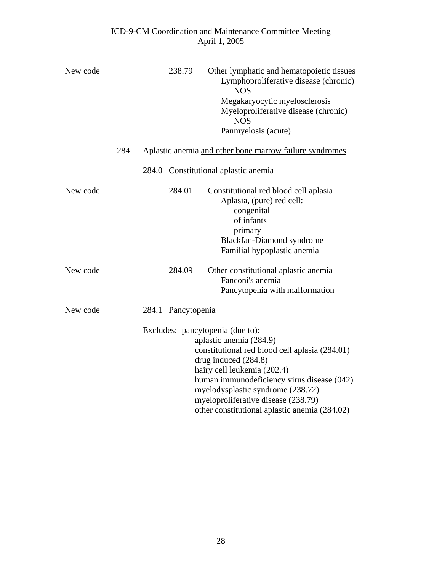| New code |     |       | 238.79       | Other lymphatic and hematopoietic tissues<br>Lymphoproliferative disease (chronic)<br><b>NOS</b>                                                                                                                                                                                                                                                  |
|----------|-----|-------|--------------|---------------------------------------------------------------------------------------------------------------------------------------------------------------------------------------------------------------------------------------------------------------------------------------------------------------------------------------------------|
|          |     |       |              | Megakaryocytic myelosclerosis<br>Myeloproliferative disease (chronic)<br><b>NOS</b>                                                                                                                                                                                                                                                               |
|          |     |       |              | Panmyelosis (acute)                                                                                                                                                                                                                                                                                                                               |
|          | 284 |       |              | Aplastic anemia and other bone marrow failure syndromes                                                                                                                                                                                                                                                                                           |
|          |     |       |              | 284.0 Constitutional aplastic anemia                                                                                                                                                                                                                                                                                                              |
| New code |     |       | 284.01       | Constitutional red blood cell aplasia<br>Aplasia, (pure) red cell:<br>congenital<br>of infants<br>primary<br>Blackfan-Diamond syndrome<br>Familial hypoplastic anemia                                                                                                                                                                             |
| New code |     |       | 284.09       | Other constitutional aplastic anemia<br>Fanconi's anemia<br>Pancytopenia with malformation                                                                                                                                                                                                                                                        |
| New code |     | 284.1 | Pancytopenia |                                                                                                                                                                                                                                                                                                                                                   |
|          |     |       |              | Excludes: pancytopenia (due to):<br>aplastic anemia (284.9)<br>constitutional red blood cell aplasia (284.01)<br>drug induced $(284.8)$<br>hairy cell leukemia (202.4)<br>human immunodeficiency virus disease (042)<br>myelodysplastic syndrome (238.72)<br>myeloproliferative disease (238.79)<br>other constitutional aplastic anemia (284.02) |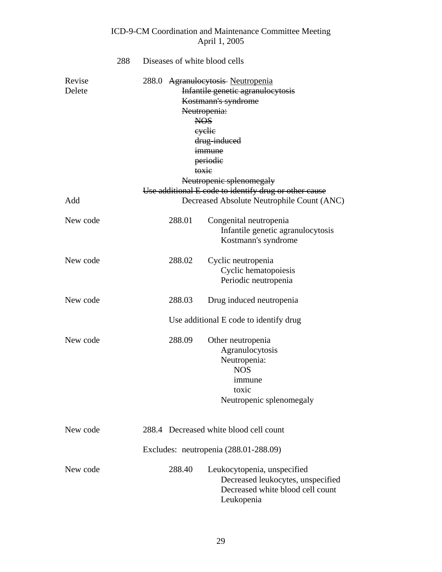## ICD-9-CM Coordination and Maintenance Committee Meeting April 1, 2005 288 Diseases of white blood cells Revise 288.0 Agranulocytosis Neutropenia Delete Infantile genetic agranulocytosis Kostmann's syndrome Neutropenia: NOS cyclic drug-induced **immune**  periodic toxic Neutropenic splenomegaly Use additional E code to identify drug or other cause Add Decreased Absolute Neutrophile Count (ANC) New code 288.01 Congenital neutropenia Infantile genetic agranulocytosis Kostmann's syndrome New code 288.02 Cyclic neutropenia Cyclic hematopoiesis Periodic neutropenia New code 288.03 Drug induced neutropenia Use additional E code to identify drug New code 288.09 Other neutropenia Agranulocytosis Neutropenia: NOS immune toxic Neutropenic splenomegaly New code 288.4 Decreased white blood cell count

#### New code 288.40 Leukocytopenia, unspecified Decreased leukocytes, unspecified Decreased white blood cell count Leukopenia

Excludes: neutropenia (288.01-288.09)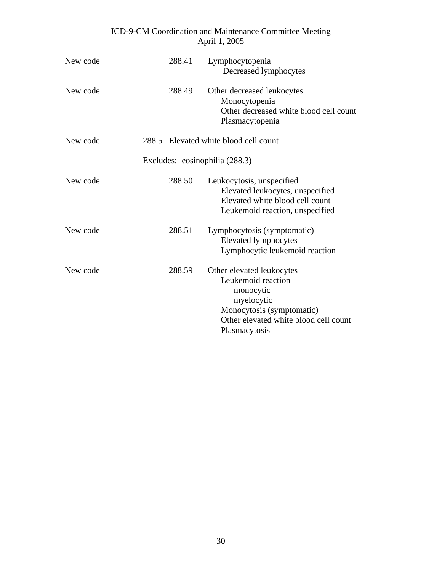| New code | 288.41 | Lymphocytopenia<br>Decreased lymphocytes                                                                                                                          |
|----------|--------|-------------------------------------------------------------------------------------------------------------------------------------------------------------------|
| New code | 288.49 | Other decreased leukocytes<br>Monocytopenia<br>Other decreased white blood cell count<br>Plasmacytopenia                                                          |
| New code |        | 288.5 Elevated white blood cell count                                                                                                                             |
|          |        | Excludes: eosinophilia (288.3)                                                                                                                                    |
| New code | 288.50 | Leukocytosis, unspecified<br>Elevated leukocytes, unspecified<br>Elevated white blood cell count<br>Leukemoid reaction, unspecified                               |
| New code | 288.51 | Lymphocytosis (symptomatic)<br><b>Elevated lymphocytes</b><br>Lymphocytic leukemoid reaction                                                                      |
| New code | 288.59 | Other elevated leukocytes<br>Leukemoid reaction<br>monocytic<br>myelocytic<br>Monocytosis (symptomatic)<br>Other elevated white blood cell count<br>Plasmacytosis |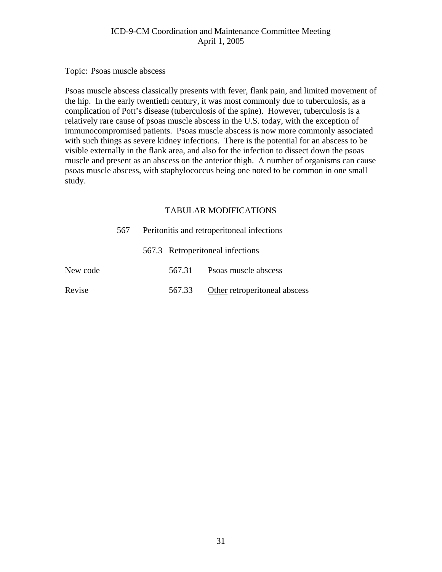Topic: Psoas muscle abscess

Psoas muscle abscess classically presents with fever, flank pain, and limited movement of the hip. In the early twentieth century, it was most commonly due to tuberculosis, as a complication of Pott's disease (tuberculosis of the spine). However, tuberculosis is a relatively rare cause of psoas muscle abscess in the U.S. today, with the exception of immunocompromised patients. Psoas muscle abscess is now more commonly associated with such things as severe kidney infections. There is the potential for an abscess to be visible externally in the flank area, and also for the infection to dissect down the psoas muscle and present as an abscess on the anterior thigh. A number of organisms can cause psoas muscle abscess, with staphylococcus being one noted to be common in one small study.

|          | 567 | Peritonitis and retroperitoneal infections |        |                                  |  |  |
|----------|-----|--------------------------------------------|--------|----------------------------------|--|--|
|          |     |                                            |        | 567.3 Retroperitoneal infections |  |  |
| New code |     |                                            | 567.31 | Psoas muscle abscess             |  |  |
| Revise   |     |                                            | 567.33 | Other retroperitoneal abscess    |  |  |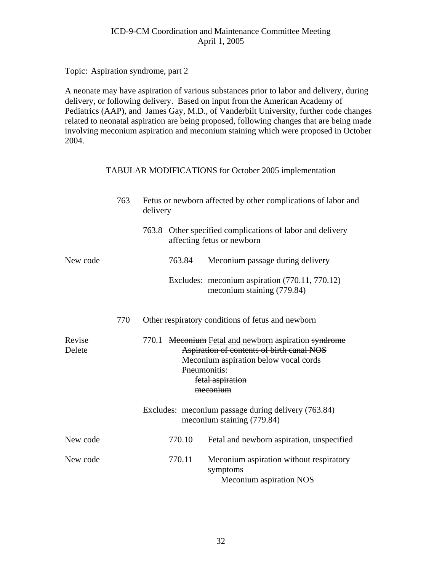Topic: Aspiration syndrome, part 2

A neonate may have aspiration of various substances prior to labor and delivery, during delivery, or following delivery. Based on input from the American Academy of Pediatrics (AAP), and James Gay, M.D., of Vanderbilt University, further code changes related to neonatal aspiration are being proposed, following changes that are being made involving meconium aspiration and meconium staining which were proposed in October 2004.

#### TABULAR MODIFICATIONS for October 2005 implementation

|                  | 763 | Fetus or newborn affected by other complications of labor and<br>delivery |              |                                                                                                                                                                            |  |  |
|------------------|-----|---------------------------------------------------------------------------|--------------|----------------------------------------------------------------------------------------------------------------------------------------------------------------------------|--|--|
|                  |     |                                                                           |              | 763.8 Other specified complications of labor and delivery<br>affecting fetus or newborn                                                                                    |  |  |
| New code         |     |                                                                           | 763.84       | Meconium passage during delivery                                                                                                                                           |  |  |
|                  |     |                                                                           |              | Excludes: meconium aspiration (770.11, 770.12)<br>meconium staining (779.84)                                                                                               |  |  |
|                  | 770 |                                                                           |              | Other respiratory conditions of fetus and newborn                                                                                                                          |  |  |
| Revise<br>Delete |     |                                                                           | Pneumonitis: | 770.1 Meconium Fetal and newborn aspiration syndrome<br>Aspiration of contents of birth canal NOS<br>Meconium aspiration below vocal cords<br>fetal aspiration<br>meconium |  |  |
|                  |     |                                                                           |              | Excludes: meconium passage during delivery (763.84)<br>meconium staining (779.84)                                                                                          |  |  |
| New code         |     |                                                                           | 770.10       | Fetal and newborn aspiration, unspecified                                                                                                                                  |  |  |
| New code         |     |                                                                           | 770.11       | Meconium aspiration without respiratory<br>symptoms<br>Meconium aspiration NOS                                                                                             |  |  |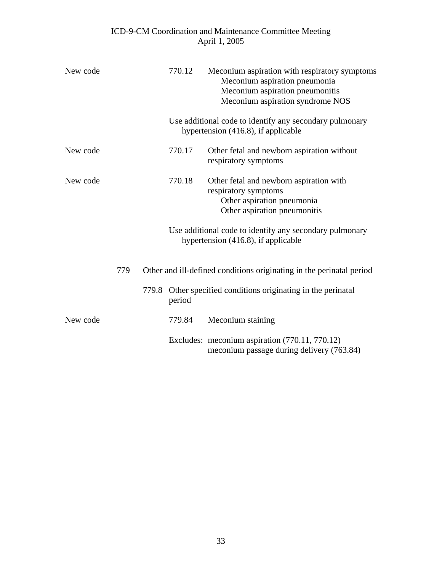| New code |     | 770.12 | Meconium aspiration with respiratory symptoms<br>Meconium aspiration pneumonia<br>Meconium aspiration pneumonitis<br>Meconium aspiration syndrome NOS |
|----------|-----|--------|-------------------------------------------------------------------------------------------------------------------------------------------------------|
|          |     |        | Use additional code to identify any secondary pulmonary<br>hypertension (416.8), if applicable                                                        |
| New code |     | 770.17 | Other fetal and newborn aspiration without<br>respiratory symptoms                                                                                    |
| New code |     | 770.18 | Other fetal and newborn aspiration with<br>respiratory symptoms<br>Other aspiration pneumonia<br>Other aspiration pneumonitis                         |
|          |     |        | Use additional code to identify any secondary pulmonary<br>hypertension (416.8), if applicable                                                        |
|          | 779 |        | Other and ill-defined conditions originating in the perinatal period                                                                                  |
|          |     | period | 779.8 Other specified conditions originating in the perinatal                                                                                         |
| New code |     | 779.84 | Meconium staining                                                                                                                                     |
|          |     |        | Excludes: meconium aspiration (770.11, 770.12)<br>meconium passage during delivery (763.84)                                                           |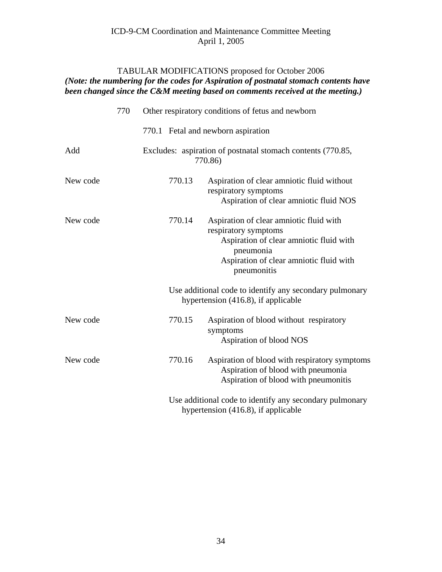#### TABULAR MODIFICATIONS proposed for October 2006 *(Note: the numbering for the codes for Aspiration of postnatal stomach contents have been changed since the C&M meeting based on comments received at the meeting.*)

|          | 770 |        | Other respiratory conditions of fetus and newborn                                                                                                                                 |
|----------|-----|--------|-----------------------------------------------------------------------------------------------------------------------------------------------------------------------------------|
|          |     |        | 770.1 Fetal and newborn aspiration                                                                                                                                                |
| Add      |     |        | Excludes: aspiration of postnatal stomach contents (770.85,<br>770.86)                                                                                                            |
| New code |     | 770.13 | Aspiration of clear amniotic fluid without<br>respiratory symptoms<br>Aspiration of clear amniotic fluid NOS                                                                      |
| New code |     | 770.14 | Aspiration of clear amniotic fluid with<br>respiratory symptoms<br>Aspiration of clear amniotic fluid with<br>pneumonia<br>Aspiration of clear amniotic fluid with<br>pneumonitis |
|          |     |        | Use additional code to identify any secondary pulmonary<br>hypertension (416.8), if applicable                                                                                    |
| New code |     | 770.15 | Aspiration of blood without respiratory<br>symptoms<br>Aspiration of blood NOS                                                                                                    |
| New code |     | 770.16 | Aspiration of blood with respiratory symptoms<br>Aspiration of blood with pneumonia<br>Aspiration of blood with pneumonitis                                                       |
|          |     |        | Use additional code to identify any secondary pulmonary<br>hypertension (416.8), if applicable                                                                                    |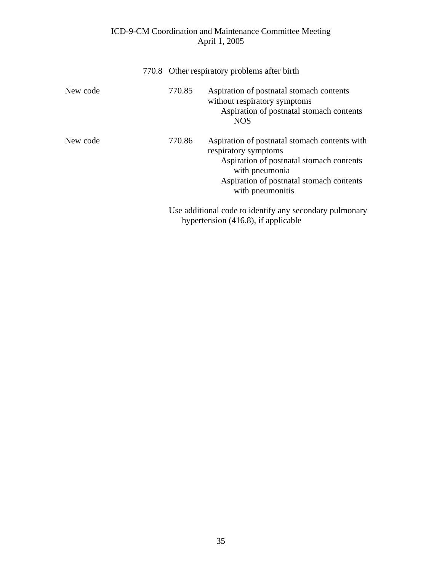|          |        | 770.8 Other respiratory problems after birth                                                                                                                                                        |
|----------|--------|-----------------------------------------------------------------------------------------------------------------------------------------------------------------------------------------------------|
| New code | 770.85 | Aspiration of postnatal stomach contents<br>without respiratory symptoms<br>Aspiration of postnatal stomach contents<br><b>NOS</b>                                                                  |
| New code | 770.86 | Aspiration of postnatal stomach contents with<br>respiratory symptoms<br>Aspiration of postnatal stomach contents<br>with pneumonia<br>Aspiration of postnatal stomach contents<br>with pneumonitis |
|          |        | Use additional code to identify any secondary pulmonary<br>hypertension $(416.8)$ , if applicable                                                                                                   |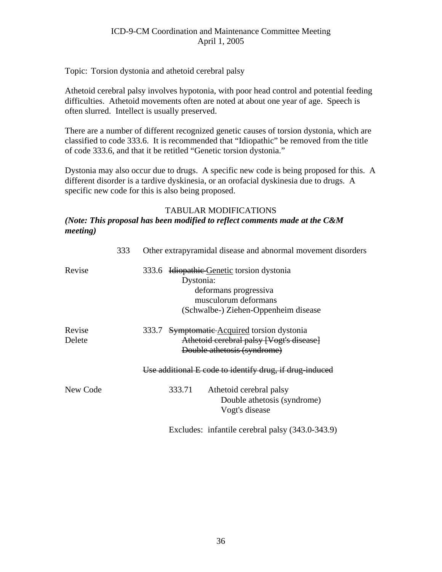Topic: Torsion dystonia and athetoid cerebral palsy

Athetoid cerebral palsy involves hypotonia, with poor head control and potential feeding difficulties. Athetoid movements often are noted at about one year of age. Speech is often slurred. Intellect is usually preserved.

There are a number of different recognized genetic causes of torsion dystonia, which are classified to code 333.6. It is recommended that "Idiopathic" be removed from the title of code 333.6, and that it be retitled "Genetic torsion dystonia."

Dystonia may also occur due to drugs. A specific new code is being proposed for this. A different disorder is a tardive dyskinesia, or an orofacial dyskinesia due to drugs. A specific new code for this is also being proposed.

#### TABULAR MODIFICATIONS

#### *(Note: This proposal has been modified to reflect comments made at the C&M meeting)*

|                  | 333 | Other extrapyramidal disease and abnormal movement disorders                                                                                    |  |  |  |  |
|------------------|-----|-------------------------------------------------------------------------------------------------------------------------------------------------|--|--|--|--|
| Revise           |     | 333.6 Idiopathic Genetic torsion dystonia<br>Dystonia:<br>deformans progressiva<br>musculorum deformans<br>(Schwalbe-) Ziehen-Oppenheim disease |  |  |  |  |
| Revise<br>Delete |     | 333.7 Symptomatic Acquired torsion dystonia<br>Athetoid cerebral palsy [Vogt's disease]<br>Double athetosis (syndrome)                          |  |  |  |  |
|                  |     | Use additional E code to identify drug, if drug induced                                                                                         |  |  |  |  |
| New Code         |     | 333.71<br>Athetoid cerebral palsy<br>Double athetosis (syndrome)<br>Vogt's disease                                                              |  |  |  |  |
|                  |     | Excludes: infantile cerebral palsy (343.0-343.9)                                                                                                |  |  |  |  |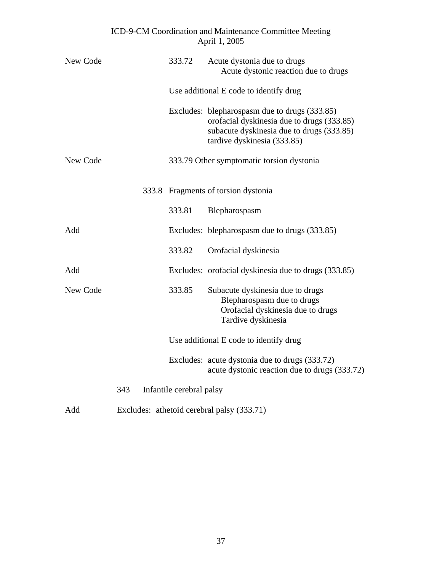| New Code |     | 333.72                                     | Acute dystonia due to drugs<br>Acute dystonic reaction due to drugs                                                                                                     |  |  |
|----------|-----|--------------------------------------------|-------------------------------------------------------------------------------------------------------------------------------------------------------------------------|--|--|
|          |     |                                            | Use additional E code to identify drug                                                                                                                                  |  |  |
|          |     |                                            | Excludes: blepharospasm due to drugs (333.85)<br>orofacial dyskinesia due to drugs (333.85)<br>subacute dyskinesia due to drugs (333.85)<br>tardive dyskinesia (333.85) |  |  |
| New Code |     |                                            | 333.79 Other symptomatic torsion dystonia                                                                                                                               |  |  |
|          |     |                                            | 333.8 Fragments of torsion dystonia                                                                                                                                     |  |  |
|          |     | 333.81                                     | Blepharospasm                                                                                                                                                           |  |  |
| Add      |     |                                            | Excludes: blepharospasm due to drugs (333.85)                                                                                                                           |  |  |
|          |     | 333.82                                     | Orofacial dyskinesia                                                                                                                                                    |  |  |
| Add      |     |                                            | Excludes: orofacial dyskinesia due to drugs (333.85)                                                                                                                    |  |  |
| New Code |     | 333.85                                     | Subacute dyskinesia due to drugs<br>Blepharospasm due to drugs<br>Orofacial dyskinesia due to drugs<br>Tardive dyskinesia                                               |  |  |
|          |     |                                            | Use additional E code to identify drug                                                                                                                                  |  |  |
|          |     |                                            | Excludes: acute dystonia due to drugs (333.72)<br>acute dystonic reaction due to drugs (333.72)                                                                         |  |  |
|          | 343 | Infantile cerebral palsy                   |                                                                                                                                                                         |  |  |
| Add      |     | Excludes: athetoid cerebral palsy (333.71) |                                                                                                                                                                         |  |  |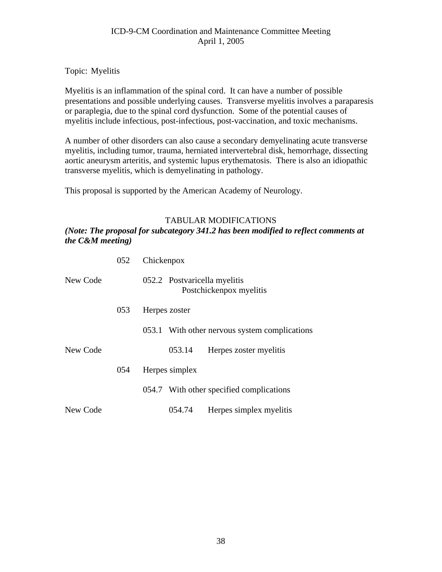Topic: Myelitis

Myelitis is an inflammation of the spinal cord. It can have a number of possible presentations and possible underlying causes. Transverse myelitis involves a paraparesis or paraplegia, due to the spinal cord dysfunction. Some of the potential causes of myelitis include infectious, post-infectious, post-vaccination, and toxic mechanisms.

A number of other disorders can also cause a secondary demyelinating acute transverse myelitis, including tumor, trauma, herniated intervertebral disk, hemorrhage, dissecting aortic aneurysm arteritis, and systemic lupus erythematosis. There is also an idiopathic transverse myelitis, which is demyelinating in pathology.

This proposal is supported by the American Academy of Neurology.

#### TABULAR MODIFICATIONS

*(Note: The proposal for subcategory 341.2 has been modified to reflect comments at the C&M meeting)*

|          | 052 | Chickenpox                                              |
|----------|-----|---------------------------------------------------------|
| New Code |     | 052.2 Postvaricella myelitis<br>Postchickenpox myelitis |
|          | 053 | Herpes zoster                                           |
|          |     | 053.1 With other nervous system complications           |
| New Code |     | 053.14<br>Herpes zoster myelitis                        |
|          | 054 | Herpes simplex                                          |
|          |     | 054.7 With other specified complications                |
| New Code |     | 054.74<br>Herpes simplex myelitis                       |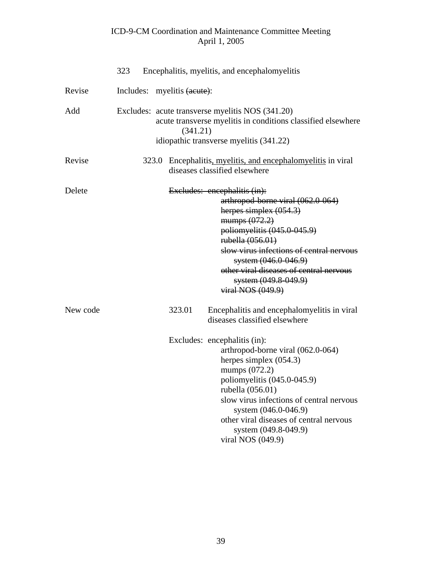|          | 323                         |          | Encephalitis, myelitis, and encephalomyelitis                                                                                                                                                                                                                                                                                   |
|----------|-----------------------------|----------|---------------------------------------------------------------------------------------------------------------------------------------------------------------------------------------------------------------------------------------------------------------------------------------------------------------------------------|
| Revise   | Includes: myelitis (acute): |          |                                                                                                                                                                                                                                                                                                                                 |
| Add      |                             | (341.21) | Excludes: acute transverse myelitis NOS (341.20)<br>acute transverse myelitis in conditions classified elsewhere<br>idiopathic transverse myelitis (341.22)                                                                                                                                                                     |
| Revise   | 323.0                       |          | Encephalitis, myelitis, and encephalomyelitis in viral<br>diseases classified elsewhere                                                                                                                                                                                                                                         |
| Delete   |                             |          | Excludes: encephalitis (in):<br>arthropod-borne viral (062.0-064)<br>herpes simplex $(054.3)$<br>mumps $(072.2)$<br>poliomyelitis (045.0-045.9)<br>rubella (056.01)<br>slow virus infections of central nervous<br>system (046.0-046.9)<br>other viral diseases of central nervous<br>system (049.8-049.9)<br>viral NOS (049.9) |
| New code |                             | 323.01   | Encephalitis and encephalomyelitis in viral<br>diseases classified elsewhere                                                                                                                                                                                                                                                    |
|          |                             |          | Excludes: encephalitis (in):<br>arthropod-borne viral (062.0-064)<br>herpes simplex $(054.3)$<br>mumps (072.2)<br>poliomyelitis (045.0-045.9)<br>rubella (056.01)<br>slow virus infections of central nervous<br>system (046.0-046.9)<br>other viral diseases of central nervous<br>system (049.8-049.9)<br>viral NOS (049.9)   |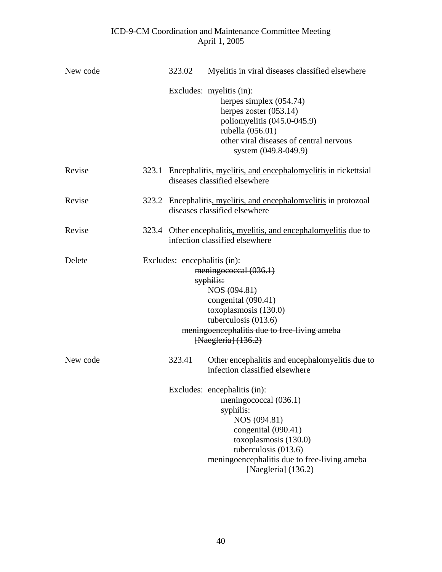| New code | 323.02                       | Myelitis in viral diseases classified elsewhere                                                                                                                                                                                     |
|----------|------------------------------|-------------------------------------------------------------------------------------------------------------------------------------------------------------------------------------------------------------------------------------|
|          |                              | Excludes: myelitis (in):<br>herpes simplex $(054.74)$<br>herpes zoster $(053.14)$<br>poliomyelitis (045.0-045.9)<br>rubella (056.01)<br>other viral diseases of central nervous<br>system (049.8-049.9)                             |
| Revise   |                              | 323.1 Encephalitis, myelitis, and encephalomyelitis in rickettsial<br>diseases classified elsewhere                                                                                                                                 |
| Revise   |                              | 323.2 Encephalitis, myelitis, and encephalomyelitis in protozoal<br>diseases classified elsewhere                                                                                                                                   |
| Revise   |                              | 323.4 Other encephalitis, myelitis, and encephalomyelitis due to<br>infection classified elsewhere                                                                                                                                  |
| Delete   | Excludes: encephalitis (in): | meningococcal (036.1)<br>syphilis:<br>NOS (094.81)<br>congenital (090.41)<br>toxoplasmosis (130.0)<br>tuberculosis (013.6)<br>meningoencephalitis due to free-living ameba<br>[Naegleria] (136.2)                                   |
| New code | 323.41                       | Other encephalitis and encephalomyelitis due to<br>infection classified elsewhere                                                                                                                                                   |
|          |                              | Excludes: encephalitis (in):<br>meningococcal (036.1)<br>syphilis:<br>NOS (094.81)<br>congenital (090.41)<br>toxoplasmosis (130.0)<br>tuberculosis $(013.6)$<br>meningoencephalitis due to free-living ameba<br>[Naegleria] (136.2) |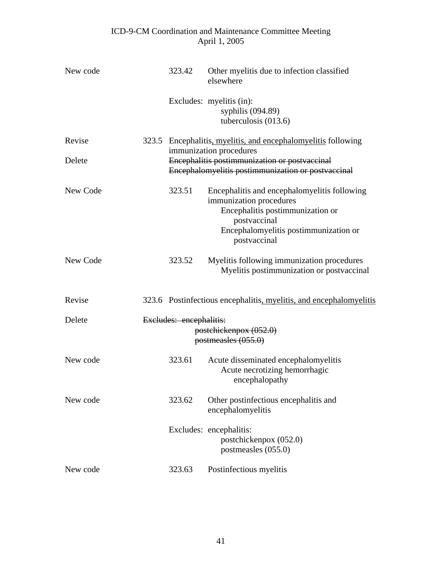| New code | 323.42                  | Other myelitis due to infection classified<br>elsewhere                                                                                                                              |  |  |  |  |
|----------|-------------------------|--------------------------------------------------------------------------------------------------------------------------------------------------------------------------------------|--|--|--|--|
|          |                         | Excludes: myelitis (in):<br>syphilis $(094.89)$<br>tuberculosis (013.6)                                                                                                              |  |  |  |  |
| Revise   |                         | 323.5 Encephalitis, myelitis, and encephalomyelitis following                                                                                                                        |  |  |  |  |
| Delete   |                         | immunization procedures<br>Encephalitis postimmunization or postvaccinal<br>Encephalomyelitis postimmunization or postvaccinal                                                       |  |  |  |  |
| New Code | 323.51                  | Encephalitis and encephalomyelitis following<br>immunization procedures<br>Encephalitis postimmunization or<br>postvaccinal<br>Encephalomyelitis postimmunization or<br>postvaccinal |  |  |  |  |
| New Code | 323.52                  | Myelitis following immunization procedures<br>Myelitis postimmunization or postvaccinal                                                                                              |  |  |  |  |
| Revise   |                         | 323.6 Postinfectious encephalitis, myelitis, and encephalomyelitis                                                                                                                   |  |  |  |  |
| Delete   | Excludes: encephalitis: | postchickenpox (052.0)<br>postmeasles (055.0)                                                                                                                                        |  |  |  |  |
| New code | 323.61                  | Acute disseminated encephalomyelitis<br>Acute necrotizing hemorrhagic<br>encephalopathy                                                                                              |  |  |  |  |
| New code | 323.62                  | Other postinfectious encephalitis and<br>encephalomyelitis                                                                                                                           |  |  |  |  |
|          |                         | Excludes: encephalitis:<br>postchickenpox (052.0)<br>postmeasles (055.0)                                                                                                             |  |  |  |  |
| New code | 323.63                  | Postinfectious myelitis                                                                                                                                                              |  |  |  |  |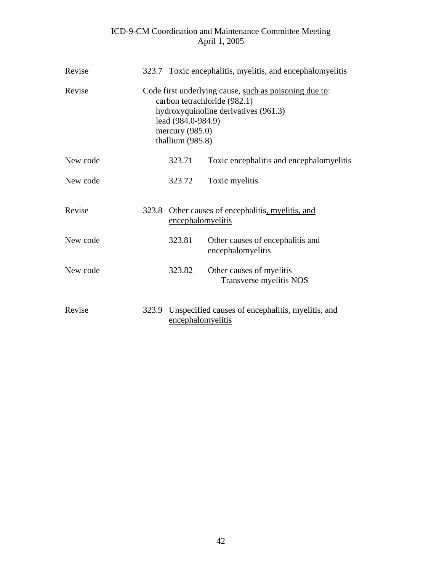| Revise   |       |                                                             | 323.7 Toxic encephalitis, myelitis, and encephalomyelitis                                                                      |
|----------|-------|-------------------------------------------------------------|--------------------------------------------------------------------------------------------------------------------------------|
| Revise   |       | lead (984.0-984.9)<br>mercury $(985.0)$<br>thallium (985.8) | Code first underlying cause, such as poisoning due to:<br>carbon tetrachloride (982.1)<br>hydroxyquinoline derivatives (961.3) |
| New code |       | 323.71                                                      | Toxic encephalitis and encephalomyelitis                                                                                       |
| New code |       | 323.72                                                      | Toxic myelitis                                                                                                                 |
| Revise   |       | encephalomyelitis                                           | 323.8 Other causes of encephalitis, myelitis, and                                                                              |
| New code |       | 323.81                                                      | Other causes of encephalitis and<br>encephalomyelitis                                                                          |
| New code |       | 323.82                                                      | Other causes of myelitis<br>Transverse myelitis NOS                                                                            |
| Revise   | 323.9 | encephalomyelitis                                           | Unspecified causes of encephalitis, myelitis, and                                                                              |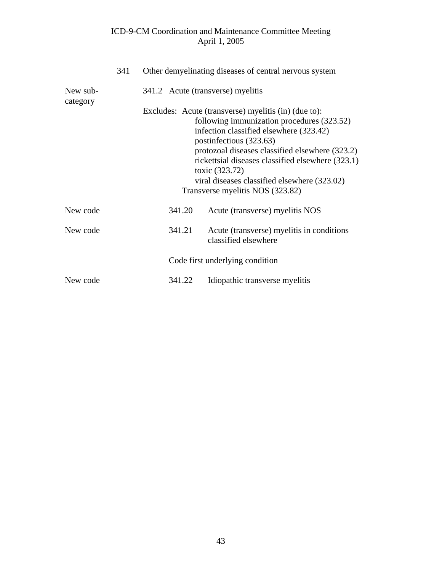|                      | 341 |        | Other demyelinating diseases of central nervous system                                                                                                                                                                                                                                                                                                                                 |
|----------------------|-----|--------|----------------------------------------------------------------------------------------------------------------------------------------------------------------------------------------------------------------------------------------------------------------------------------------------------------------------------------------------------------------------------------------|
| New sub-<br>category |     |        | 341.2 Acute (transverse) myelitis                                                                                                                                                                                                                                                                                                                                                      |
|                      |     |        | Excludes: Acute (transverse) myelitis (in) (due to):<br>following immunization procedures (323.52)<br>infection classified elsewhere (323.42)<br>postinfectious (323.63)<br>protozoal diseases classified elsewhere (323.2)<br>rickettsial diseases classified elsewhere (323.1)<br>toxic (323.72)<br>viral diseases classified elsewhere (323.02)<br>Transverse myelitis NOS (323.82) |
| New code             |     | 341.20 | Acute (transverse) myelitis NOS                                                                                                                                                                                                                                                                                                                                                        |
| New code             |     | 341.21 | Acute (transverse) myelitis in conditions<br>classified elsewhere                                                                                                                                                                                                                                                                                                                      |
|                      |     |        | Code first underlying condition                                                                                                                                                                                                                                                                                                                                                        |
| New code             |     | 341.22 | Idiopathic transverse myelitis                                                                                                                                                                                                                                                                                                                                                         |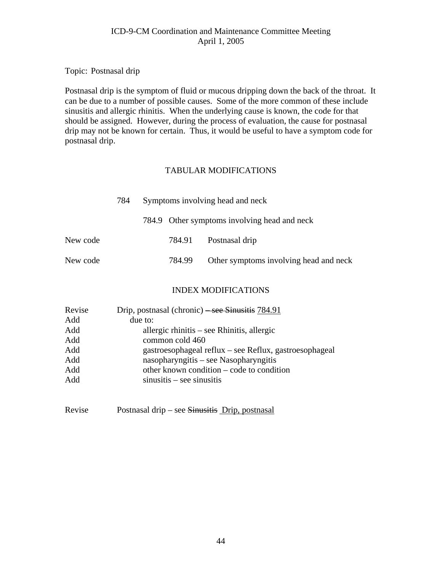#### Topic: Postnasal drip

Postnasal drip is the symptom of fluid or mucous dripping down the back of the throat. It can be due to a number of possible causes. Some of the more common of these include sinusitis and allergic rhinitis. When the underlying cause is known, the code for that should be assigned. However, during the process of evaluation, the cause for postnasal drip may not be known for certain. Thus, it would be useful to have a symptom code for postnasal drip.

#### TABULAR MODIFICATIONS

|          | 784 | Symptoms involving head and neck |        |                                              |  |
|----------|-----|----------------------------------|--------|----------------------------------------------|--|
|          |     |                                  |        | 784.9 Other symptoms involving head and neck |  |
| New code |     |                                  |        | 784.91 Postnasal drip                        |  |
| New code |     |                                  | 784.99 | Other symptoms involving head and neck       |  |

#### INDEX MODIFICATIONS

| Revise | Drip, postnasal (chronic) – see Sinusitis $784.91$     |
|--------|--------------------------------------------------------|
| Add    | due to:                                                |
| Add    | allergic rhinitis $-$ see Rhinitis, allergic           |
| Add    | common cold 460                                        |
| Add    | gastroesophageal reflux – see Reflux, gastroesophageal |
| Add    | nasopharyngitis – see Nasopharyngitis                  |
| Add    | other known condition – code to condition              |
| Add    | $sinusitis - see sinusitis$                            |
|        |                                                        |

Revise Postnasal drip – see Sinusitis Drip, postnasal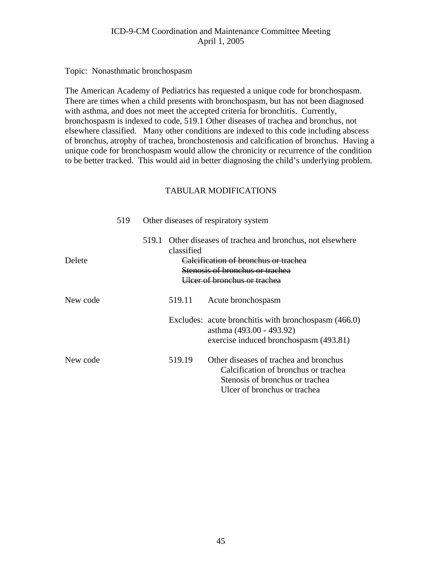Topic: Nonasthmatic bronchospasm

The American Academy of Pediatrics has requested a unique code for bronchospasm. There are times when a child presents with bronchospasm, but has not been diagnosed with asthma, and does not meet the accepted criteria for bronchitis. Currently, bronchospasm is indexed to code, 519.1 Other diseases of trachea and bronchus, not elsewhere classified. Many other conditions are indexed to this code including abscess of bronchus, atrophy of trachea, bronchostenosis and calcification of bronchus. Having a unique code for bronchospasm would allow the chronicity or recurrence of the condition to be better tracked. This would aid in better diagnosing the child's underlying problem.

|          | 519 |       |            | Other diseases of respiratory system                                                                                                                             |
|----------|-----|-------|------------|------------------------------------------------------------------------------------------------------------------------------------------------------------------|
| Delete   |     | 519.1 | classified | Other diseases of trachea and bronchus, not elsewhere<br>Calcification of bronchus or trachea<br>Stenosis of bronchus or trachea<br>Ulcer of bronchus or trachea |
| New code |     |       | 519.11     | Acute bronchospasm                                                                                                                                               |
|          |     |       |            | Excludes: acute bronchitis with bronchospasm (466.0)<br>asthma (493.00 - 493.92)<br>exercise induced bronchospasm (493.81)                                       |
| New code |     |       | 519.19     | Other diseases of trachea and bronchus<br>Calcification of bronchus or trachea<br>Stenosis of bronchus or trachea<br>Ulcer of bronchus or trachea                |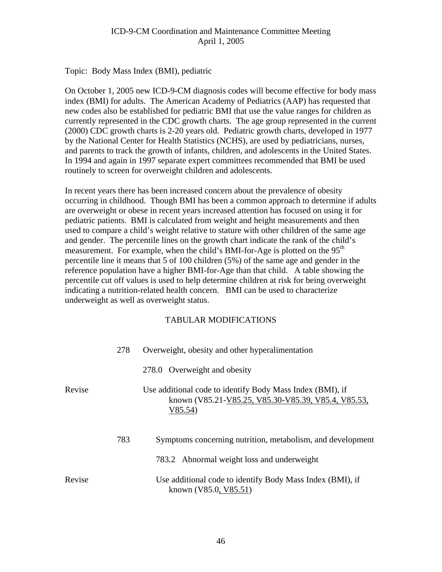Topic: Body Mass Index (BMI), pediatric

On October 1, 2005 new ICD-9-CM diagnosis codes will become effective for body mass index (BMI) for adults. The American Academy of Pediatrics (AAP) has requested that new codes also be established for pediatric BMI that use the value ranges for children as currently represented in the CDC growth charts. The age group represented in the current (2000) CDC growth charts is 2-20 years old. Pediatric growth charts, developed in 1977 by the National Center for Health Statistics (NCHS), are used by pediatricians, nurses, and parents to track the growth of infants, children, and adolescents in the United States. In 1994 and again in 1997 separate expert committees recommended that BMI be used routinely to screen for overweight children and adolescents.

In recent years there has been increased concern about the prevalence of obesity occurring in childhood. Though BMI has been a common approach to determine if adults are overweight or obese in recent years increased attention has focused on using it for pediatric patients. BMI is calculated from weight and height measurements and then used to compare a child's weight relative to stature with other children of the same age and gender. The percentile lines on the growth chart indicate the rank of the child's measurement. For example, when the child's BMI-for-Age is plotted on the 95<sup>th</sup> percentile line it means that 5 of 100 children (5%) of the same age and gender in the reference population have a higher BMI-for-Age than that child. A table showing the percentile cut off values is used to help determine children at risk for being overweight indicating a nutrition-related health concern. BMI can be used to characterize underweight as well as overweight status.

|        | 278 | Overweight, obesity and other hyperalimentation                                                                            |
|--------|-----|----------------------------------------------------------------------------------------------------------------------------|
|        |     | 278.0 Overweight and obesity                                                                                               |
| Revise |     | Use additional code to identify Body Mass Index (BMI), if<br>known (V85.21-V85.25, V85.30-V85.39, V85.4, V85.53,<br>V85.54 |
|        | 783 | Symptoms concerning nutrition, metabolism, and development                                                                 |
|        |     | 783.2 Abnormal weight loss and underweight                                                                                 |
| Revise |     | Use additional code to identify Body Mass Index (BMI), if<br>known (V85.0, V85.51)                                         |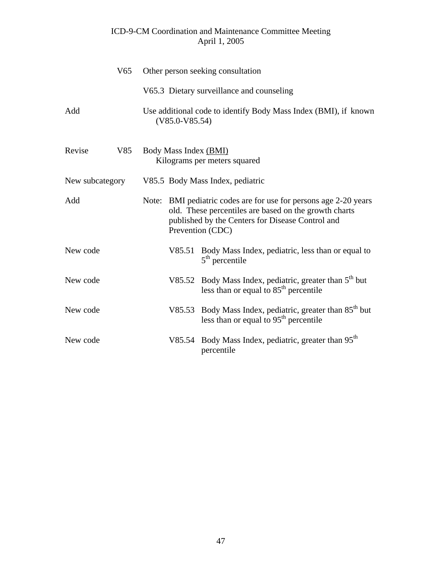|                 | V <sub>65</sub> | Other person seeking consultation                                                   |        |                                                                                                                                                                                                   |
|-----------------|-----------------|-------------------------------------------------------------------------------------|--------|---------------------------------------------------------------------------------------------------------------------------------------------------------------------------------------------------|
|                 |                 |                                                                                     |        | V65.3 Dietary surveillance and counseling                                                                                                                                                         |
| Add             |                 | Use additional code to identify Body Mass Index (BMI), if known<br>$(V85.0-V85.54)$ |        |                                                                                                                                                                                                   |
| Revise          | V85             | Body Mass Index (BMI)<br>Kilograms per meters squared                               |        |                                                                                                                                                                                                   |
| New subcategory |                 |                                                                                     |        | V85.5 Body Mass Index, pediatric                                                                                                                                                                  |
| Add             |                 |                                                                                     |        | Note: BMI pediatric codes are for use for persons age 2-20 years<br>old. These percentiles are based on the growth charts<br>published by the Centers for Disease Control and<br>Prevention (CDC) |
| New code        |                 |                                                                                     |        | V85.51 Body Mass Index, pediatric, less than or equal to<br>$5th$ percentile                                                                                                                      |
| New code        |                 |                                                                                     |        | V85.52 Body Mass Index, pediatric, greater than $5th$ but<br>less than or equal to $85th$ percentile                                                                                              |
| New code        |                 |                                                                                     |        | V85.53 Body Mass Index, pediatric, greater than 85 <sup>th</sup> but<br>less than or equal to $95th$ percentile                                                                                   |
| New code        |                 |                                                                                     | V85.54 | Body Mass Index, pediatric, greater than 95 <sup>th</sup><br>percentile                                                                                                                           |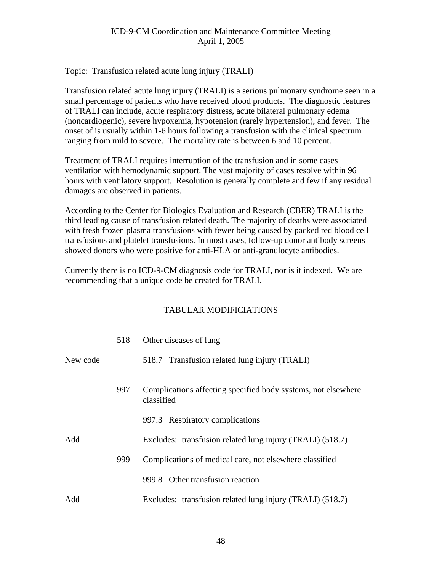#### Topic: Transfusion related acute lung injury (TRALI)

Transfusion related acute lung injury (TRALI) is a serious pulmonary syndrome seen in a small percentage of patients who have received blood products. The diagnostic features of TRALI can include, acute respiratory distress, acute bilateral pulmonary edema (noncardiogenic), severe hypoxemia, hypotension (rarely hypertension), and fever. The onset of is usually within 1-6 hours following a transfusion with the clinical spectrum ranging from mild to severe. The mortality rate is between 6 and 10 percent.

Treatment of TRALI requires interruption of the transfusion and in some cases ventilation with hemodynamic support. The vast majority of cases resolve within 96 hours with ventilatory support. Resolution is generally complete and few if any residual damages are observed in patients.

According to the Center for Biologics Evaluation and Research (CBER) TRALI is the third leading cause of transfusion related death. The majority of deaths were associated with fresh frozen plasma transfusions with fewer being caused by packed red blood cell transfusions and platelet transfusions. In most cases, follow-up donor antibody screens showed donors who were positive for anti-HLA or anti-granulocyte antibodies.

Currently there is no ICD-9-CM diagnosis code for TRALI, nor is it indexed. We are recommending that a unique code be created for TRALI.

|          | 518 | Other diseases of lung                                                      |
|----------|-----|-----------------------------------------------------------------------------|
| New code |     | 518.7 Transfusion related lung injury (TRALI)                               |
|          | 997 | Complications affecting specified body systems, not elsewhere<br>classified |
|          |     | 997.3 Respiratory complications                                             |
| Add      |     | Excludes: transfusion related lung injury (TRALI) (518.7)                   |
|          | 999 | Complications of medical care, not elsewhere classified                     |
|          |     | 999.8 Other transfusion reaction                                            |
| Add      |     | Excludes: transfusion related lung injury (TRALI) (518.7)                   |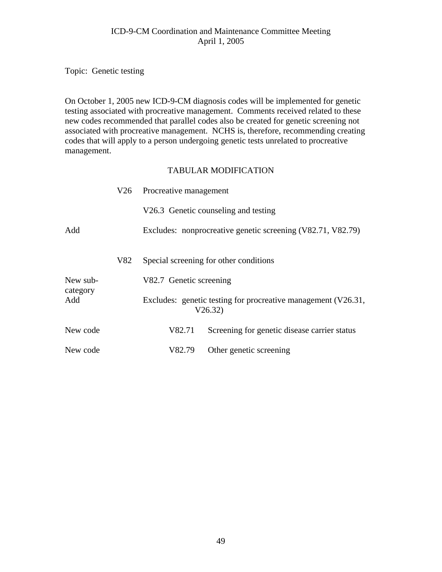Topic: Genetic testing

On October 1, 2005 new ICD-9-CM diagnosis codes will be implemented for genetic testing associated with procreative management. Comments received related to these new codes recommended that parallel codes also be created for genetic screening not associated with procreative management. NCHS is, therefore, recommending creating codes that will apply to a person undergoing genetic tests unrelated to procreative management.

|                             |     | V26 Procreative management |                                                                          |  |
|-----------------------------|-----|----------------------------|--------------------------------------------------------------------------|--|
|                             |     |                            | V26.3 Genetic counseling and testing                                     |  |
| Add                         |     |                            | Excludes: nonprocreative genetic screening (V82.71, V82.79)              |  |
|                             | V82 |                            | Special screening for other conditions                                   |  |
| New sub-<br>category<br>Add |     | V82.7 Genetic screening    |                                                                          |  |
|                             |     |                            | Excludes: genetic testing for procreative management (V26.31,<br>V26.32) |  |
| New code                    |     | V82.71                     | Screening for genetic disease carrier status                             |  |
| New code                    |     | V82.79                     | Other genetic screening                                                  |  |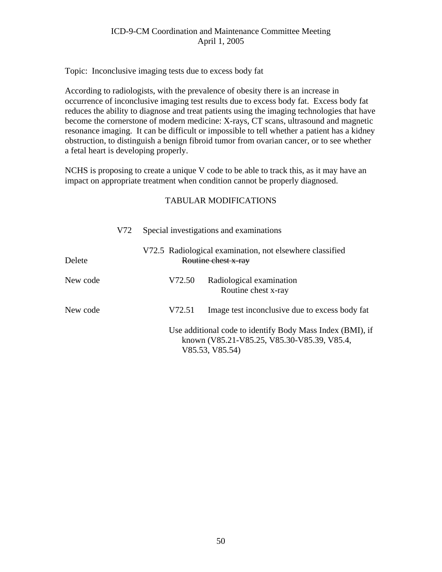Topic: Inconclusive imaging tests due to excess body fat

According to radiologists, with the prevalence of obesity there is an increase in occurrence of inconclusive imaging test results due to excess body fat. Excess body fat reduces the ability to diagnose and treat patients using the imaging technologies that have become the cornerstone of modern medicine: X-rays, CT scans, ultrasound and magnetic resonance imaging. It can be difficult or impossible to tell whether a patient has a kidney obstruction, to distinguish a benign fibroid tumor from ovarian cancer, or to see whether a fetal heart is developing properly.

NCHS is proposing to create a unique V code to be able to track this, as it may have an impact on appropriate treatment when condition cannot be properly diagnosed.

|          | V72 | Special investigations and examinations<br>V72.5 Radiological examination, not elsewhere classified<br>Routine chest x-ray |                                                                                                          |  |
|----------|-----|----------------------------------------------------------------------------------------------------------------------------|----------------------------------------------------------------------------------------------------------|--|
| Delete   |     |                                                                                                                            |                                                                                                          |  |
| New code |     | V72.50                                                                                                                     | Radiological examination<br>Routine chest x-ray                                                          |  |
| New code |     | V72.51                                                                                                                     | Image test inconclusive due to excess body fat                                                           |  |
|          |     | V85.53, V85.54)                                                                                                            | Use additional code to identify Body Mass Index (BMI), if<br>known (V85.21-V85.25, V85.30-V85.39, V85.4, |  |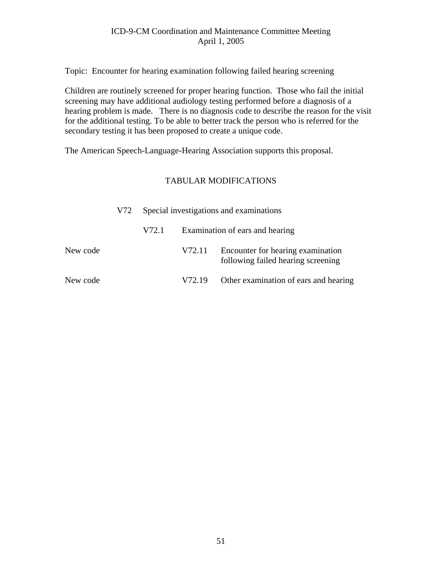Topic: Encounter for hearing examination following failed hearing screening

Children are routinely screened for proper hearing function. Those who fail the initial screening may have additional audiology testing performed before a diagnosis of a hearing problem is made. There is no diagnosis code to describe the reason for the visit for the additional testing. To be able to better track the person who is referred for the secondary testing it has been proposed to create a unique code.

The American Speech-Language-Hearing Association supports this proposal.

|          | V72 |       |                    | Special investigations and examinations                                 |
|----------|-----|-------|--------------------|-------------------------------------------------------------------------|
|          |     | V72.1 |                    | Examination of ears and hearing                                         |
| New code |     |       | V72.11             | Encounter for hearing examination<br>following failed hearing screening |
| New code |     |       | V <sub>72.19</sub> | Other examination of ears and hearing                                   |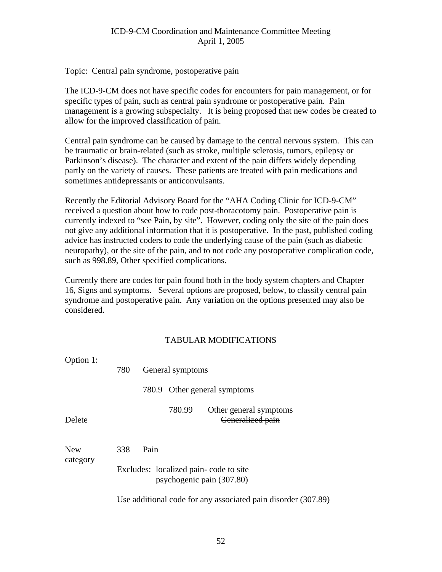Topic: Central pain syndrome, postoperative pain

The ICD-9-CM does not have specific codes for encounters for pain management, or for specific types of pain, such as central pain syndrome or postoperative pain. Pain management is a growing subspecialty. It is being proposed that new codes be created to allow for the improved classification of pain.

Central pain syndrome can be caused by damage to the central nervous system. This can be traumatic or brain-related (such as stroke, multiple sclerosis, tumors, epilepsy or Parkinson's disease). The character and extent of the pain differs widely depending partly on the variety of causes. These patients are treated with pain medications and sometimes antidepressants or anticonvulsants.

Recently the Editorial Advisory Board for the "AHA Coding Clinic for ICD-9-CM" received a question about how to code post-thoracotomy pain. Postoperative pain is currently indexed to "see Pain, by site". However, coding only the site of the pain does not give any additional information that it is postoperative. In the past, published coding advice has instructed coders to code the underlying cause of the pain (such as diabetic neuropathy), or the site of the pain, and to not code any postoperative complication code, such as 998.89, Other specified complications.

Currently there are codes for pain found both in the body system chapters and Chapter 16, Signs and symptoms. Several options are proposed, below, to classify central pain syndrome and postoperative pain. Any variation on the options presented may also be considered.

| Option 1:       | 780 |       | General symptoms |                                                                    |  |  |
|-----------------|-----|-------|------------------|--------------------------------------------------------------------|--|--|
|                 |     | 780.9 |                  | Other general symptoms                                             |  |  |
| Delete          |     |       | 780.99           | Other general symptoms<br>Generalized pain                         |  |  |
| New<br>category | 338 | Pain  |                  | Excludes: localized pain-code to site<br>psychogenic pain (307.80) |  |  |
|                 |     |       |                  | Use additional code for any associated pain disorder (307.89)      |  |  |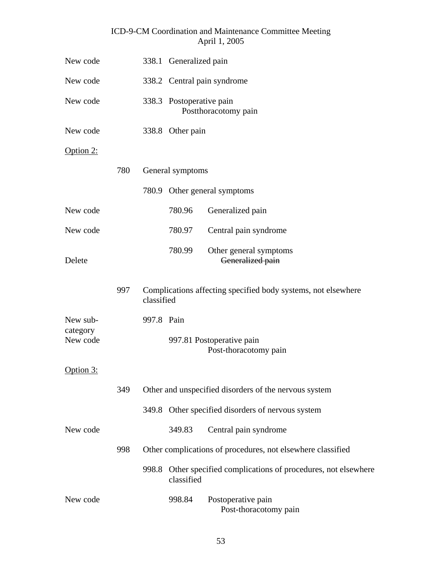| New code                         |     |            | 338.1 Generalized pain      |                                                               |  |
|----------------------------------|-----|------------|-----------------------------|---------------------------------------------------------------|--|
| New code                         |     |            | 338.2 Central pain syndrome |                                                               |  |
| New code                         |     |            | 338.3 Postoperative pain    | Postthoracotomy pain                                          |  |
| New code                         |     |            | 338.8 Other pain            |                                                               |  |
| Option $2$ :                     |     |            |                             |                                                               |  |
|                                  | 780 |            | General symptoms            |                                                               |  |
|                                  |     |            |                             | 780.9 Other general symptoms                                  |  |
| New code                         |     |            | 780.96                      | Generalized pain                                              |  |
| New code                         |     |            | 780.97                      | Central pain syndrome                                         |  |
| Delete                           |     |            | 780.99                      | Other general symptoms<br>Generalized pain                    |  |
|                                  | 997 | classified |                             | Complications affecting specified body systems, not elsewhere |  |
| New sub-<br>category<br>New code |     | 997.8 Pain |                             | 997.81 Postoperative pain<br>Post-thoracotomy pain            |  |
| Option 3:                        |     |            |                             |                                                               |  |
|                                  | 349 |            |                             | Other and unspecified disorders of the nervous system         |  |
|                                  |     |            |                             | 349.8 Other specified disorders of nervous system             |  |
| New code                         |     |            | 349.83                      | Central pain syndrome                                         |  |
|                                  | 998 |            |                             | Other complications of procedures, not elsewhere classified   |  |
|                                  |     | 998.8      | classified                  | Other specified complications of procedures, not elsewhere    |  |
| New code                         |     |            | 998.84                      | Postoperative pain<br>Post-thoracotomy pain                   |  |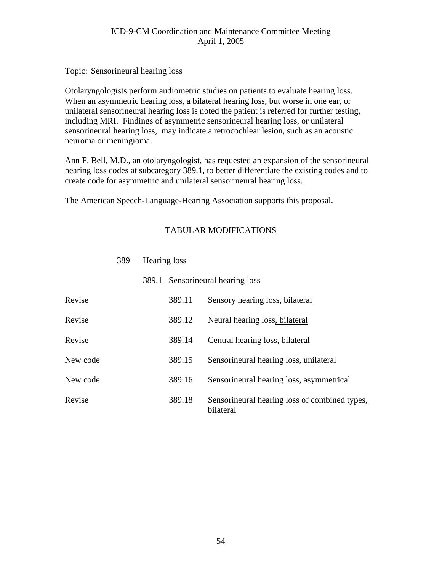Topic: Sensorineural hearing loss

Otolaryngologists perform audiometric studies on patients to evaluate hearing loss. When an asymmetric hearing loss, a bilateral hearing loss, but worse in one ear, or unilateral sensorineural hearing loss is noted the patient is referred for further testing, including MRI. Findings of asymmetric sensorineural hearing loss, or unilateral sensorineural hearing loss, may indicate a retrocochlear lesion, such as an acoustic neuroma or meningioma.

Ann F. Bell, M.D., an otolaryngologist, has requested an expansion of the sensorineural hearing loss codes at subcategory 389.1, to better differentiate the existing codes and to create code for asymmetric and unilateral sensorineural hearing loss.

The American Speech-Language-Hearing Association supports this proposal.

#### TABULAR MODIFICATIONS

|          | 389.1 Sensorineural hearing loss |                                                            |  |
|----------|----------------------------------|------------------------------------------------------------|--|
| Revise   | 389.11                           | Sensory hearing loss, bilateral                            |  |
| Revise   | 389.12                           | Neural hearing loss, bilateral                             |  |
| Revise   | 389.14                           | Central hearing loss, bilateral                            |  |
| New code | 389.15                           | Sensorineural hearing loss, unilateral                     |  |
| New code | 389.16                           | Sensorineural hearing loss, asymmetrical                   |  |
| Revise   | 389.18                           | Sensorineural hearing loss of combined types,<br>bilateral |  |

#### 389 Hearing loss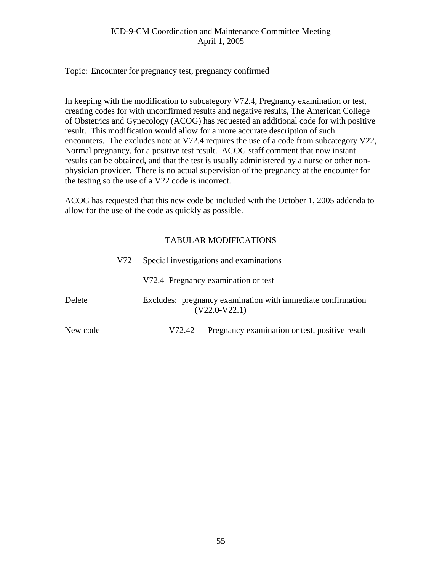Topic: Encounter for pregnancy test, pregnancy confirmed

In keeping with the modification to subcategory V72.4, Pregnancy examination or test, creating codes for with unconfirmed results and negative results, The American College of Obstetrics and Gynecology (ACOG) has requested an additional code for with positive result. This modification would allow for a more accurate description of such encounters. The excludes note at V72.4 requires the use of a code from subcategory V22, Normal pregnancy, for a positive test result. ACOG staff comment that now instant results can be obtained, and that the test is usually administered by a nurse or other nonphysician provider. There is no actual supervision of the pregnancy at the encounter for the testing so the use of a V22 code is incorrect.

ACOG has requested that this new code be included with the October 1, 2005 addenda to allow for the use of the code as quickly as possible.

|          | V72 | Special investigations and examinations                                                |                                                |  |
|----------|-----|----------------------------------------------------------------------------------------|------------------------------------------------|--|
|          |     | V72.4 Pregnancy examination or test                                                    |                                                |  |
| Delete   |     | Excludes: pregnancy examination with immediate confirmation<br><del>/22.0-V22.1)</del> |                                                |  |
| New code |     | V72.42                                                                                 | Pregnancy examination or test, positive result |  |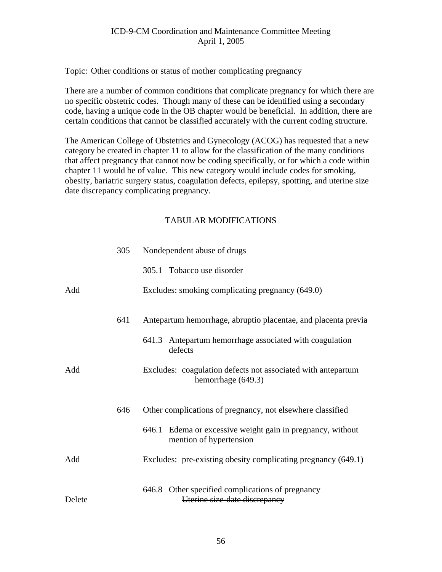Topic: Other conditions or status of mother complicating pregnancy

There are a number of common conditions that complicate pregnancy for which there are no specific obstetric codes. Though many of these can be identified using a secondary code, having a unique code in the OB chapter would be beneficial. In addition, there are certain conditions that cannot be classified accurately with the current coding structure.

The American College of Obstetrics and Gynecology (ACOG) has requested that a new category be created in chapter 11 to allow for the classification of the many conditions that affect pregnancy that cannot now be coding specifically, or for which a code within chapter 11 would be of value. This new category would include codes for smoking, obesity, bariatric surgery status, coagulation defects, epilepsy, spotting, and uterine size date discrepancy complicating pregnancy.

|        | 305 | Nondependent abuse of drugs                                                           |  |  |  |
|--------|-----|---------------------------------------------------------------------------------------|--|--|--|
|        |     | 305.1 Tobacco use disorder                                                            |  |  |  |
| Add    |     | Excludes: smoking complicating pregnancy (649.0)                                      |  |  |  |
|        | 641 | Antepartum hemorrhage, abruptio placentae, and placenta previa                        |  |  |  |
|        |     | 641.3 Antepartum hemorrhage associated with coagulation<br>defects                    |  |  |  |
| Add    |     | Excludes: coagulation defects not associated with antepartum<br>hemorrhage (649.3)    |  |  |  |
|        | 646 | Other complications of pregnancy, not elsewhere classified                            |  |  |  |
|        |     | 646.1 Edema or excessive weight gain in pregnancy, without<br>mention of hypertension |  |  |  |
| Add    |     | Excludes: pre-existing obesity complicating pregnancy (649.1)                         |  |  |  |
| Delete |     | 646.8 Other specified complications of pregnancy<br>Uterine size-date discrepancy     |  |  |  |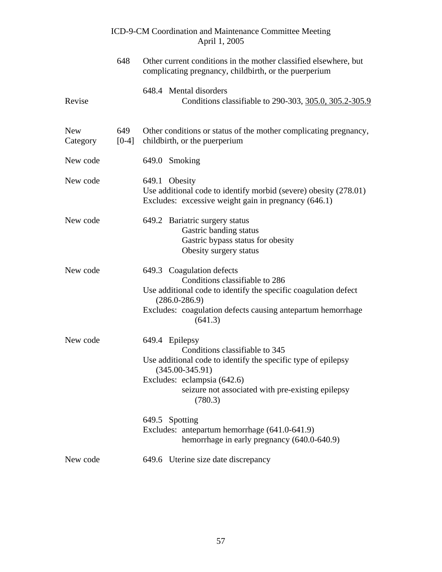|                        |                | ICD-9-CM Coordination and Maintenance Committee Meeting<br>April 1, 2005                                                                                                                                                                                                                                   |
|------------------------|----------------|------------------------------------------------------------------------------------------------------------------------------------------------------------------------------------------------------------------------------------------------------------------------------------------------------------|
|                        | 648            | Other current conditions in the mother classified elsewhere, but<br>complicating pregnancy, childbirth, or the puerperium                                                                                                                                                                                  |
| Revise                 |                | 648.4 Mental disorders<br>Conditions classifiable to 290-303, 305.0, 305.2-305.9                                                                                                                                                                                                                           |
| <b>New</b><br>Category | 649<br>$[0-4]$ | Other conditions or status of the mother complicating pregnancy,<br>childbirth, or the puerperium                                                                                                                                                                                                          |
| New code               |                | 649.0 Smoking                                                                                                                                                                                                                                                                                              |
| New code               |                | 649.1 Obesity<br>Use additional code to identify morbid (severe) obesity (278.01)<br>Excludes: excessive weight gain in pregnancy (646.1)                                                                                                                                                                  |
| New code               |                | 649.2 Bariatric surgery status<br>Gastric banding status<br>Gastric bypass status for obesity<br>Obesity surgery status                                                                                                                                                                                    |
| New code               |                | 649.3 Coagulation defects<br>Conditions classifiable to 286<br>Use additional code to identify the specific coagulation defect<br>$(286.0 - 286.9)$<br>Excludes: coagulation defects causing antepartum hemorrhage<br>(641.3)                                                                              |
| New code               |                | 649.4 Epilepsy<br>Conditions classifiable to 345<br>Use additional code to identify the specific type of epilepsy<br>$(345.00 - 345.91)$<br>Excludes: eclampsia (642.6)<br>seizure not associated with pre-existing epilepsy<br>(780.3)<br>649.5 Spotting<br>Excludes: antepartum hemorrhage (641.0-641.9) |
| New code               |                | hemorrhage in early pregnancy (640.0-640.9)                                                                                                                                                                                                                                                                |
|                        |                | 649.6 Uterine size date discrepancy                                                                                                                                                                                                                                                                        |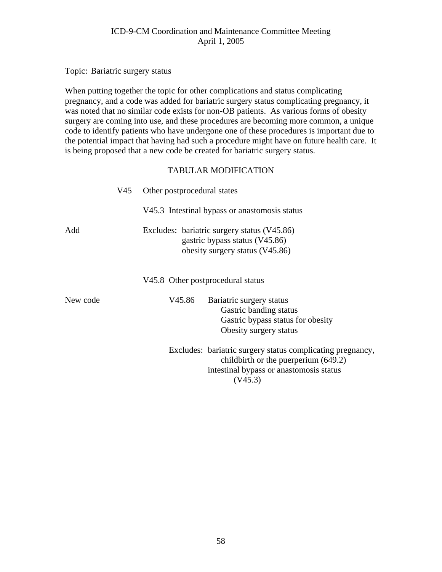Topic: Bariatric surgery status

When putting together the topic for other complications and status complicating pregnancy, and a code was added for bariatric surgery status complicating pregnancy, it was noted that no similar code exists for non-OB patients. As various forms of obesity surgery are coming into use, and these procedures are becoming more common, a unique code to identify patients who have undergone one of these procedures is important due to the potential impact that having had such a procedure might have on future health care. It is being proposed that a new code be created for bariatric surgery status.

|          | V45.                                                                                                             | Other postprocedural states                   |                                                                                                                                                            |  |
|----------|------------------------------------------------------------------------------------------------------------------|-----------------------------------------------|------------------------------------------------------------------------------------------------------------------------------------------------------------|--|
|          |                                                                                                                  | V45.3 Intestinal bypass or anastomosis status |                                                                                                                                                            |  |
| Add      | Excludes: bariatric surgery status (V45.86)<br>gastric bypass status (V45.86)<br>obesity surgery status (V45.86) |                                               |                                                                                                                                                            |  |
|          |                                                                                                                  |                                               | V45.8 Other postprocedural status                                                                                                                          |  |
| New code |                                                                                                                  | V45.86                                        | Bariatric surgery status<br>Gastric banding status<br>Gastric bypass status for obesity<br>Obesity surgery status                                          |  |
|          |                                                                                                                  |                                               | Excludes: bariatric surgery status complicating pregnancy,<br>childbirth or the puerperium $(649.2)$<br>intestinal bypass or anastomosis status<br>(V45.3) |  |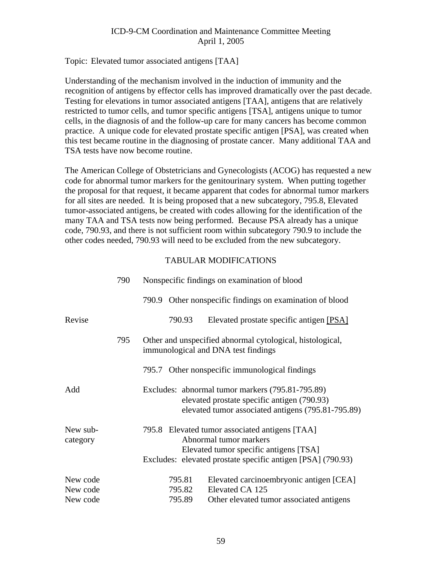#### Topic: Elevated tumor associated antigens [TAA]

Understanding of the mechanism involved in the induction of immunity and the recognition of antigens by effector cells has improved dramatically over the past decade. Testing for elevations in tumor associated antigens [TAA], antigens that are relatively restricted to tumor cells, and tumor specific antigens [TSA], antigens unique to tumor cells, in the diagnosis of and the follow-up care for many cancers has become common practice. A unique code for elevated prostate specific antigen [PSA], was created when this test became routine in the diagnosing of prostate cancer. Many additional TAA and TSA tests have now become routine.

The American College of Obstetricians and Gynecologists (ACOG) has requested a new code for abnormal tumor markers for the genitourinary system. When putting together the proposal for that request, it became apparent that codes for abnormal tumor markers for all sites are needed. It is being proposed that a new subcategory, 795.8, Elevated tumor-associated antigens, be created with codes allowing for the identification of the many TAA and TSA tests now being performed. Because PSA already has a unique code, 790.93, and there is not sufficient room within subcategory 790.9 to include the other codes needed, 790.93 will need to be excluded from the new subcategory.

|                      | 790 | Nonspecific findings on examination of blood                                                                                                                                      |  |  |
|----------------------|-----|-----------------------------------------------------------------------------------------------------------------------------------------------------------------------------------|--|--|
|                      |     | 790.9 Other nonspecific findings on examination of blood                                                                                                                          |  |  |
| Revise               |     | 790.93<br>Elevated prostate specific antigen [PSA]                                                                                                                                |  |  |
|                      | 795 | Other and unspecified abnormal cytological, histological,<br>immunological and DNA test findings                                                                                  |  |  |
|                      |     | Other nonspecific immunological findings<br>795.7                                                                                                                                 |  |  |
| Add                  |     | Excludes: abnormal tumor markers (795.81-795.89)<br>elevated prostate specific antigen (790.93)<br>elevated tumor associated antigens (795.81-795.89)                             |  |  |
| New sub-<br>category |     | 795.8 Elevated tumor associated antigens [TAA]<br>Abnormal tumor markers<br>Elevated tumor specific antigens [TSA]<br>Excludes: elevated prostate specific antigen [PSA] (790.93) |  |  |
| New code             |     | 795.81<br>Elevated carcinoembryonic antigen [CEA]                                                                                                                                 |  |  |
| New code             |     | Elevated CA 125<br>795.82                                                                                                                                                         |  |  |
| New code             |     | 795.89<br>Other elevated tumor associated antigens                                                                                                                                |  |  |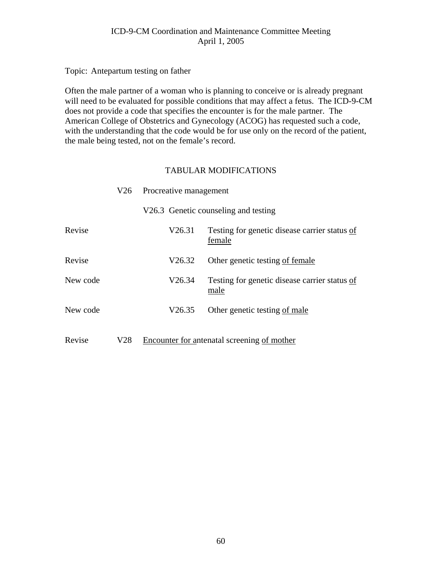Topic: Antepartum testing on father

Often the male partner of a woman who is planning to conceive or is already pregnant will need to be evaluated for possible conditions that may affect a fetus. The ICD-9-CM does not provide a code that specifies the encounter is for the male partner. The American College of Obstetrics and Gynecology (ACOG) has requested such a code, with the understanding that the code would be for use only on the record of the patient, the male being tested, not on the female's record.

|          | V26 | Procreative management |                                                         |  |
|----------|-----|------------------------|---------------------------------------------------------|--|
|          |     |                        | V26.3 Genetic counseling and testing                    |  |
| Revise   |     | V26.31                 | Testing for genetic disease carrier status of<br>female |  |
| Revise   |     | V26.32                 | Other genetic testing of female                         |  |
| New code |     | V26.34                 | Testing for genetic disease carrier status of<br>male   |  |
| New code |     | V <sub>26.35</sub>     | Other genetic testing of male                           |  |
| Revise   | V28 |                        | Encounter for antenatal screening of mother             |  |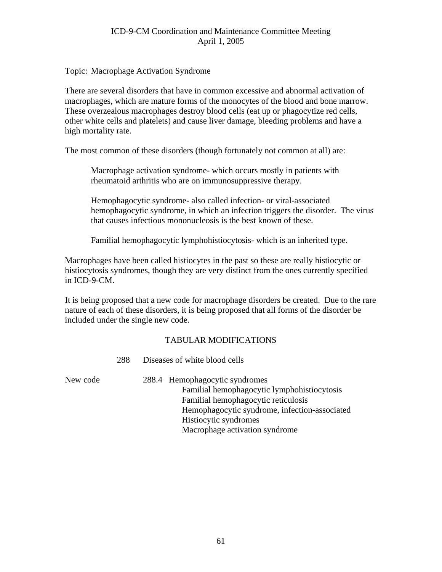#### Topic: Macrophage Activation Syndrome

There are several disorders that have in common excessive and abnormal activation of macrophages, which are mature forms of the monocytes of the blood and bone marrow. These overzealous macrophages destroy blood cells (eat up or phagocytize red cells, other white cells and platelets) and cause liver damage, bleeding problems and have a high mortality rate.

The most common of these disorders (though fortunately not common at all) are:

Macrophage activation syndrome- which occurs mostly in patients with rheumatoid arthritis who are on immunosuppressive therapy.

Hemophagocytic syndrome- also called infection- or viral-associated hemophagocytic syndrome, in which an infection triggers the disorder. The virus that causes infectious mononucleosis is the best known of these.

Familial hemophagocytic lymphohistiocytosis- which is an inherited type.

Macrophages have been called histiocytes in the past so these are really histiocytic or histiocytosis syndromes, though they are very distinct from the ones currently specified in ICD-9-CM.

It is being proposed that a new code for macrophage disorders be created. Due to the rare nature of each of these disorders, it is being proposed that all forms of the disorder be included under the single new code.

|          | 288 | Diseases of white blood cells                                                                                                                                                                                                    |  |
|----------|-----|----------------------------------------------------------------------------------------------------------------------------------------------------------------------------------------------------------------------------------|--|
| New code |     | 288.4 Hemophagocytic syndromes<br>Familial hemophagocytic lymphohistiocytosis<br>Familial hemophagocytic reticulosis<br>Hemophagocytic syndrome, infection-associated<br>Histiocytic syndromes<br>Macrophage activation syndrome |  |
|          |     |                                                                                                                                                                                                                                  |  |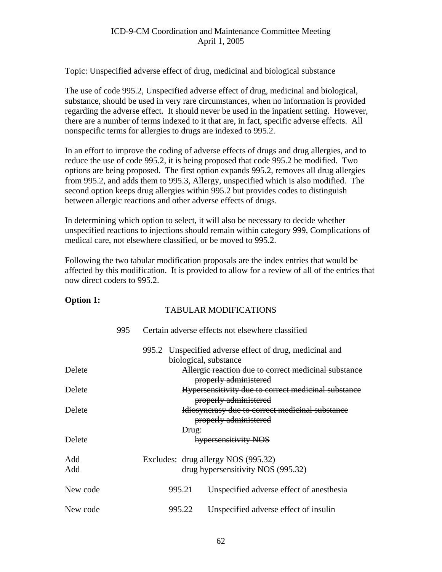Topic: Unspecified adverse effect of drug, medicinal and biological substance

The use of code 995.2, Unspecified adverse effect of drug, medicinal and biological, substance, should be used in very rare circumstances, when no information is provided regarding the adverse effect. It should never be used in the inpatient setting. However, there are a number of terms indexed to it that are, in fact, specific adverse effects. All nonspecific terms for allergies to drugs are indexed to 995.2.

In an effort to improve the coding of adverse effects of drugs and drug allergies, and to reduce the use of code 995.2, it is being proposed that code 995.2 be modified. Two options are being proposed. The first option expands 995.2, removes all drug allergies from 995.2, and adds them to 995.3, Allergy, unspecified which is also modified. The second option keeps drug allergies within 995.2 but provides codes to distinguish between allergic reactions and other adverse effects of drugs.

In determining which option to select, it will also be necessary to decide whether unspecified reactions to injections should remain within category 999, Complications of medical care, not elsewhere classified, or be moved to 995.2.

Following the two tabular modification proposals are the index entries that would be affected by this modification. It is provided to allow for a review of all of the entries that now direct coders to 995.2.

#### **Option 1:**

|            | 995 |        | Certain adverse effects not elsewhere classified                              |
|------------|-----|--------|-------------------------------------------------------------------------------|
|            |     | 995.2  | Unspecified adverse effect of drug, medicinal and                             |
|            |     |        | biological, substance                                                         |
| Delete     |     |        | Allergic reaction due to correct medicinal substance<br>properly administered |
| Delete     |     |        | Hypersensitivity due to correct medicinal substance<br>properly administered  |
| Delete     |     |        | Idiosyncrasy due to correct medicinal substance<br>properly administered      |
|            |     | Drug:  |                                                                               |
| Delete     |     |        | hypersensitivity NOS                                                          |
| Add<br>Add |     |        | Excludes: drug allergy NOS (995.32)<br>drug hypersensitivity NOS (995.32)     |
| New code   |     | 995.21 | Unspecified adverse effect of anesthesia                                      |
| New code   |     | 995.22 | Unspecified adverse effect of insulin                                         |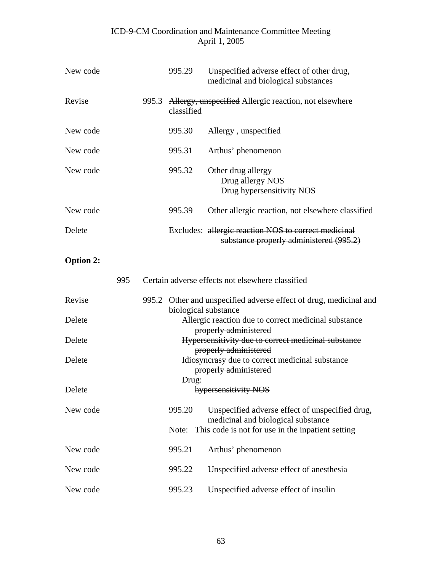| New code |       | 995.29     | Unspecified adverse effect of other drug,<br>medicinal and biological substances                |
|----------|-------|------------|-------------------------------------------------------------------------------------------------|
| Revise   | 995.3 | classified | Allergy, unspecified Allergic reaction, not elsewhere                                           |
| New code |       | 995.30     | Allergy, unspecified                                                                            |
| New code |       | 995.31     | Arthus' phenomenon                                                                              |
| New code |       | 995.32     | Other drug allergy<br>Drug allergy NOS<br>Drug hypersensitivity NOS                             |
| New code |       | 995.39     | Other allergic reaction, not elsewhere classified                                               |
| Delete   |       |            | Excludes: allergic reaction NOS to correct medicinal<br>substance properly administered (995.2) |

## **Option 2:**

|          | 995 |                                                                                              |        | Certain adverse effects not elsewhere classified                                                                                                 |
|----------|-----|----------------------------------------------------------------------------------------------|--------|--------------------------------------------------------------------------------------------------------------------------------------------------|
| Revise   |     | Other and unspecified adverse effect of drug, medicinal and<br>995.2<br>biological substance |        |                                                                                                                                                  |
| Delete   |     |                                                                                              |        | Allergic reaction due to correct medicinal substance<br>properly administered                                                                    |
| Delete   |     |                                                                                              |        | Hypersensitivity due to correct medicinal substance<br>properly administered                                                                     |
| Delete   |     |                                                                                              |        | Idiosyncrasy due to correct medicinal substance<br>properly administered                                                                         |
| Delete   |     |                                                                                              | Drug:  | hypersensitivity NOS                                                                                                                             |
| New code |     |                                                                                              | 995.20 | Unspecified adverse effect of unspecified drug,<br>medicinal and biological substance<br>Note: This code is not for use in the inpatient setting |
| New code |     |                                                                                              | 995.21 | Arthus' phenomenon                                                                                                                               |
| New code |     |                                                                                              | 995.22 | Unspecified adverse effect of anesthesia                                                                                                         |
| New code |     |                                                                                              | 995.23 | Unspecified adverse effect of insulin                                                                                                            |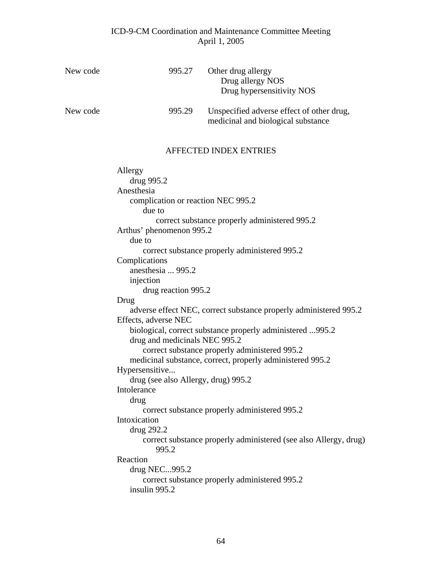| New code | 995.27                                                                                                                                                                                                                                                                                                                                                                                                                                    | Other drug allergy<br>Drug allergy NOS<br>Drug hypersensitivity NOS                                                                                                                                                                                                                                                                                                                                                                                                                                                  |
|----------|-------------------------------------------------------------------------------------------------------------------------------------------------------------------------------------------------------------------------------------------------------------------------------------------------------------------------------------------------------------------------------------------------------------------------------------------|----------------------------------------------------------------------------------------------------------------------------------------------------------------------------------------------------------------------------------------------------------------------------------------------------------------------------------------------------------------------------------------------------------------------------------------------------------------------------------------------------------------------|
| New code | 995.29                                                                                                                                                                                                                                                                                                                                                                                                                                    | Unspecified adverse effect of other drug,<br>medicinal and biological substance                                                                                                                                                                                                                                                                                                                                                                                                                                      |
|          |                                                                                                                                                                                                                                                                                                                                                                                                                                           | <b>AFFECTED INDEX ENTRIES</b>                                                                                                                                                                                                                                                                                                                                                                                                                                                                                        |
|          | Allergy<br>drug 995.2<br>Anesthesia<br>complication or reaction NEC 995.2<br>due to<br>Arthus' phenomenon 995.2<br>due to<br>Complications<br>anesthesia  995.2<br>injection<br>drug reaction 995.2<br>Drug<br>Effects, adverse NEC<br>drug and medicinals NEC 995.2<br>Hypersensitive<br>drug (see also Allergy, drug) 995.2<br>Intolerance<br>drug<br>Intoxication<br>drug 292.2<br>995.2<br>Reaction<br>drug NEC995.2<br>insulin 995.2 | correct substance properly administered 995.2<br>correct substance properly administered 995.2<br>adverse effect NEC, correct substance properly administered 995.2<br>biological, correct substance properly administered 995.2<br>correct substance properly administered 995.2<br>medicinal substance, correct, properly administered 995.2<br>correct substance properly administered 995.2<br>correct substance properly administered (see also Allergy, drug)<br>correct substance properly administered 995.2 |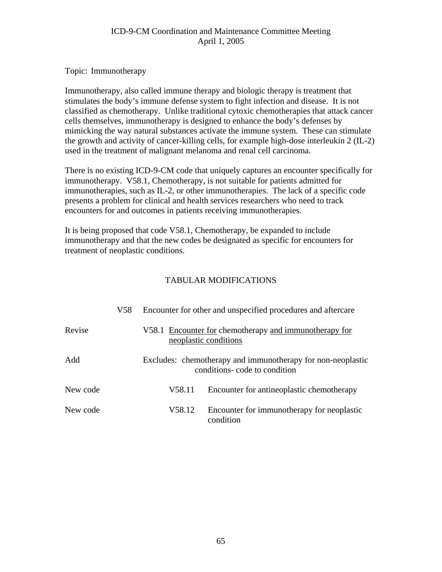Topic: Immunotherapy

Immunotherapy, also called immune therapy and biologic therapy is treatment that stimulates the body's immune defense system to fight infection and disease. It is not classified as chemotherapy. Unlike traditional cytoxic chemotherapies that attack cancer cells themselves, immunotherapy is designed to enhance the body's defenses by mimicking the way natural substances activate the immune system. These can stimulate the growth and activity of cancer-killing cells, for example high-dose interleukin 2 (IL-2) used in the treatment of malignant melanoma and renal cell carcinoma.

There is no existing ICD-9-CM code that uniquely captures an encounter specifically for immunotherapy. V58.1, Chemotherapy, is not suitable for patients admitted for immunotherapies, such as IL-2, or other immunotherapies. The lack of a specific code presents a problem for clinical and health services researchers who need to track encounters for and outcomes in patients receiving immunotherapies.

It is being proposed that code V58.1, Chemotherapy, be expanded to include immunotherapy and that the new codes be designated as specific for encounters for treatment of neoplastic conditions.

|          | V58 |        | Encounter for other and unspecified procedures and aftercare                                |
|----------|-----|--------|---------------------------------------------------------------------------------------------|
| Revise   |     |        | V58.1 Encounter for chemotherapy and immunotherapy for<br>neoplastic conditions             |
| Add      |     |        | Excludes: chemotherapy and immunotherapy for non-neoplastic<br>conditions-code to condition |
| New code |     | V58.11 | Encounter for antineoplastic chemotherapy                                                   |
| New code |     | V58.12 | Encounter for immunotherapy for neoplastic<br>condition                                     |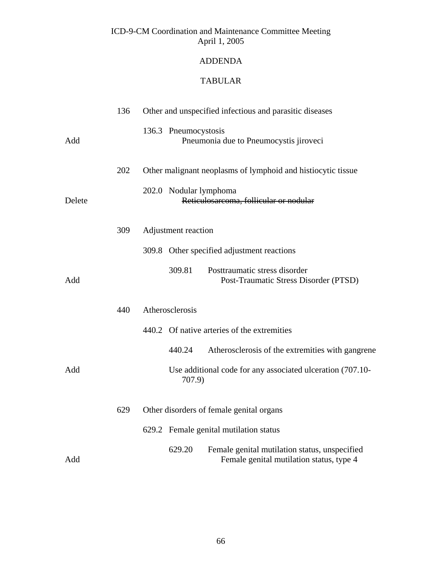## ADDENDA

## TABULAR

|        | 136 | Other and unspecified infectious and parasitic diseases                                             |
|--------|-----|-----------------------------------------------------------------------------------------------------|
| Add    |     | 136.3 Pneumocystosis<br>Pneumonia due to Pneumocystis jiroveci                                      |
|        | 202 | Other malignant neoplasms of lymphoid and histiocytic tissue                                        |
| Delete |     | 202.0 Nodular lymphoma<br>Reticulosarcoma, follicular or nodular                                    |
|        | 309 | Adjustment reaction                                                                                 |
|        |     | 309.8 Other specified adjustment reactions                                                          |
| Add    |     | 309.81<br>Posttraumatic stress disorder<br>Post-Traumatic Stress Disorder (PTSD)                    |
|        | 440 | Atherosclerosis                                                                                     |
|        |     | 440.2 Of native arteries of the extremities                                                         |
|        |     | 440.24<br>Atherosclerosis of the extremities with gangrene                                          |
| Add    |     | Use additional code for any associated ulceration (707.10-<br>707.9)                                |
|        | 629 | Other disorders of female genital organs                                                            |
|        |     | 629.2 Female genital mutilation status                                                              |
| Add    |     | 629.20<br>Female genital mutilation status, unspecified<br>Female genital mutilation status, type 4 |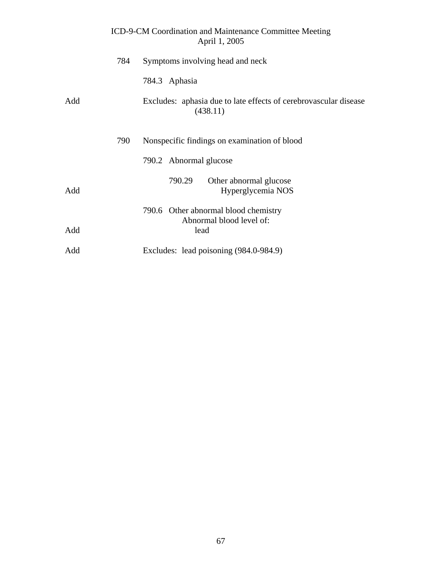|     |     | ICD-9-CM Coordination and Maintenance Committee Meeting<br>April 1, 2005     |
|-----|-----|------------------------------------------------------------------------------|
|     | 784 | Symptoms involving head and neck                                             |
|     |     | 784.3 Aphasia                                                                |
| Add |     | Excludes: aphasia due to late effects of cerebrovascular disease<br>(438.11) |
|     | 790 | Nonspecific findings on examination of blood                                 |
|     |     | 790.2 Abnormal glucose                                                       |
| Add |     | 790.29<br>Other abnormal glucose<br>Hyperglycemia NOS                        |
|     |     | 790.6 Other abnormal blood chemistry                                         |
| Add |     | Abnormal blood level of:<br>lead                                             |
| Add |     | Excludes: lead poisoning (984.0-984.9)                                       |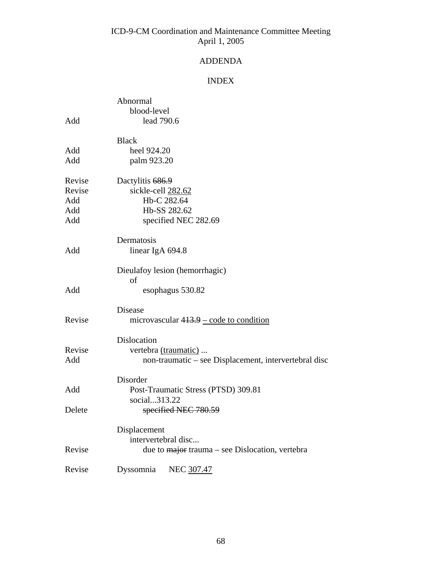## ADDENDA

## INDEX

|        | Abnormal                                                           |
|--------|--------------------------------------------------------------------|
|        | blood-level                                                        |
| Add    | lead 790.6                                                         |
|        | <b>Black</b>                                                       |
| Add    | heel 924.20                                                        |
| Add    | palm 923.20                                                        |
| Revise | Dactylitis 686.9                                                   |
| Revise | sickle-cell 282.62                                                 |
| Add    | Hb-C 282.64                                                        |
| Add    | Hb-SS 282.62                                                       |
| Add    | specified NEC 282.69                                               |
|        | Dermatosis                                                         |
| Add    | linear IgA 694.8                                                   |
|        | Dieulafoy lesion (hemorrhagic)                                     |
|        | οf                                                                 |
| Add    | esophagus 530.82                                                   |
|        | Disease                                                            |
| Revise | microvascular $413.9$ – code to condition                          |
|        | Dislocation                                                        |
| Revise | vertebra (traumatic)                                               |
| Add    | non-traumatic – see Displacement, intervertebral disc              |
|        | Disorder                                                           |
| Add    | Post-Traumatic Stress (PTSD) 309.81                                |
| Delete | social313.22<br>specified NEC 780.59                               |
|        |                                                                    |
|        | Displacement                                                       |
|        | intervertebral disc                                                |
| Revise | due to $\frac{1}{\text{major}}$ trauma – see Dislocation, vertebra |
| Revise | NEC 307.47<br>Dyssomnia                                            |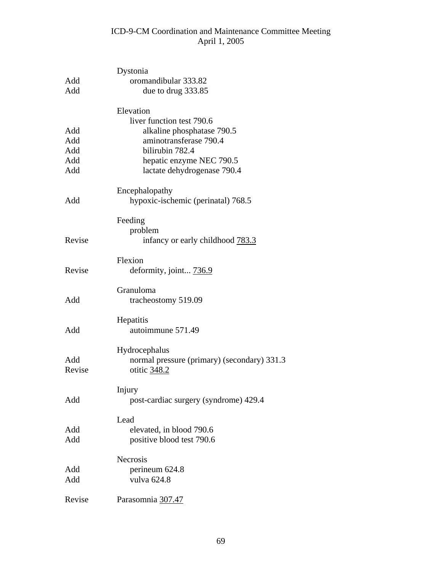| Add    | Dystonia<br>oromandibular 333.82            |
|--------|---------------------------------------------|
| Add    | due to drug 333.85                          |
|        | Elevation<br>liver function test 790.6      |
| Add    | alkaline phosphatase 790.5                  |
| Add    | aminotransferase 790.4                      |
| Add    | bilirubin 782.4                             |
| Add    | hepatic enzyme NEC 790.5                    |
| Add    | lactate dehydrogenase 790.4                 |
|        | Encephalopathy                              |
| Add    | hypoxic-ischemic (perinatal) 768.5          |
|        | Feeding                                     |
|        | problem                                     |
| Revise | infancy or early childhood 783.3            |
|        | Flexion                                     |
| Revise | deformity, joint 736.9                      |
|        | Granuloma                                   |
| Add    | tracheostomy 519.09                         |
|        | Hepatitis                                   |
| Add    | autoimmune 571.49                           |
|        | Hydrocephalus                               |
| Add    | normal pressure (primary) (secondary) 331.3 |
| Revise | otitic 348.2                                |
|        | Injury                                      |
| Add    | post-cardiac surgery (syndrome) 429.4       |
|        | Lead                                        |
| Add    | elevated, in blood 790.6                    |
| Add    | positive blood test 790.6                   |
|        | Necrosis                                    |
| Add    | perineum 624.8                              |
| Add    | vulva 624.8                                 |
| Revise | Parasomnia 307.47                           |